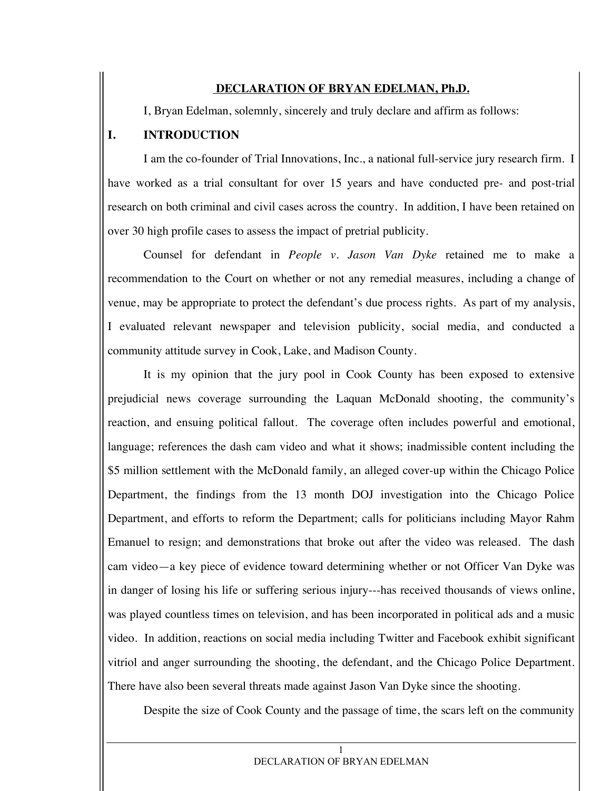#### **DECLARATION OF BRYAN EDELMAN, Ph.D.**

I, Bryan Edelman, solemnly, sincerely and truly declare and affirm as follows:

#### **I. INTRODUCTION**

I am the co-founder of Trial Innovations, Inc., a national full-service jury research firm. I have worked as a trial consultant for over 15 years and have conducted pre- and post-trial research on both criminal and civil cases across the country. In addition, I have been retained on over 30 high profile cases to assess the impact of pretrial publicity.

Counsel for defendant in *People v. Jason Van Dyke* retained me to make a recommendation to the Court on whether or not any remedial measures, including a change of venue, may be appropriate to protect the defendant's due process rights. As part of my analysis, I evaluated relevant newspaper and television publicity, social media, and conducted a community attitude survey in Cook, Lake, and Madison County.

It is my opinion that the jury pool in Cook County has been exposed to extensive prejudicial news coverage surrounding the Laquan McDonald shooting, the community's reaction, and ensuing political fallout. The coverage often includes powerful and emotional, language; references the dash cam video and what it shows; inadmissible content including the \$5 million settlement with the McDonald family, an alleged cover-up within the Chicago Police Department, the findings from the 13 month DOJ investigation into the Chicago Police Department, and efforts to reform the Department; calls for politicians including Mayor Rahm Emanuel to resign; and demonstrations that broke out after the video was released. The dash cam video—a key piece of evidence toward determining whether or not Officer Van Dyke was in danger of losing his life or suffering serious injury---has received thousands of views online, was played countless times on television, and has been incorporated in political ads and a music video. In addition, reactions on social media including Twitter and Facebook exhibit significant vitriol and anger surrounding the shooting, the defendant, and the Chicago Police Department. There have also been several threats made against Jason Van Dyke since the shooting.

Despite the size of Cook County and the passage of time, the scars left on the community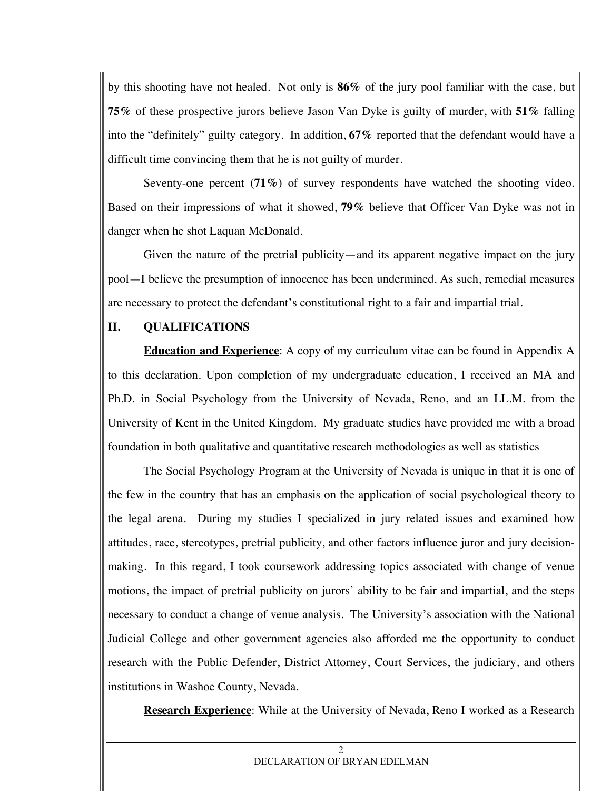by this shooting have not healed. Not only is **86%** of the jury pool familiar with the case, but **75%** of these prospective jurors believe Jason Van Dyke is guilty of murder, with **51%** falling into the "definitely" guilty category. In addition, **67%** reported that the defendant would have a difficult time convincing them that he is not guilty of murder.

Seventy-one percent (**71%**) of survey respondents have watched the shooting video. Based on their impressions of what it showed, **79%** believe that Officer Van Dyke was not in danger when he shot Laquan McDonald.

Given the nature of the pretrial publicity—and its apparent negative impact on the jury pool—I believe the presumption of innocence has been undermined. As such, remedial measures are necessary to protect the defendant's constitutional right to a fair and impartial trial.

# **II. QUALIFICATIONS**

**Education and Experience**: A copy of my curriculum vitae can be found in Appendix A to this declaration. Upon completion of my undergraduate education, I received an MA and Ph.D. in Social Psychology from the University of Nevada, Reno, and an LL.M. from the University of Kent in the United Kingdom. My graduate studies have provided me with a broad foundation in both qualitative and quantitative research methodologies as well as statistics

The Social Psychology Program at the University of Nevada is unique in that it is one of the few in the country that has an emphasis on the application of social psychological theory to the legal arena. During my studies I specialized in jury related issues and examined how attitudes, race, stereotypes, pretrial publicity, and other factors influence juror and jury decisionmaking. In this regard, I took coursework addressing topics associated with change of venue motions, the impact of pretrial publicity on jurors' ability to be fair and impartial, and the steps necessary to conduct a change of venue analysis. The University's association with the National Judicial College and other government agencies also afforded me the opportunity to conduct research with the Public Defender, District Attorney, Court Services, the judiciary, and others institutions in Washoe County, Nevada.

**Research Experience**: While at the University of Nevada, Reno I worked as a Research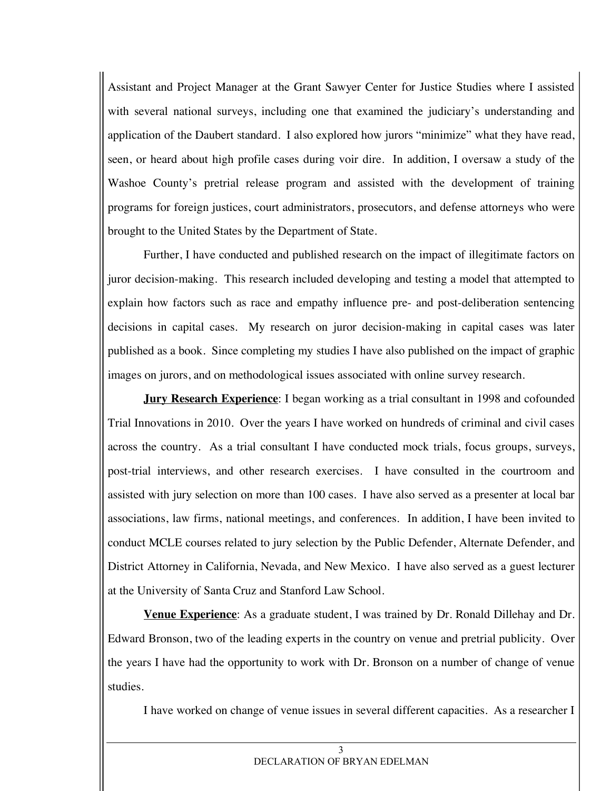Assistant and Project Manager at the Grant Sawyer Center for Justice Studies where I assisted with several national surveys, including one that examined the judiciary's understanding and application of the Daubert standard. I also explored how jurors "minimize" what they have read, seen, or heard about high profile cases during voir dire. In addition, I oversaw a study of the Washoe County's pretrial release program and assisted with the development of training programs for foreign justices, court administrators, prosecutors, and defense attorneys who were brought to the United States by the Department of State.

Further, I have conducted and published research on the impact of illegitimate factors on juror decision-making. This research included developing and testing a model that attempted to explain how factors such as race and empathy influence pre- and post-deliberation sentencing decisions in capital cases. My research on juror decision-making in capital cases was later published as a book. Since completing my studies I have also published on the impact of graphic images on jurors, and on methodological issues associated with online survey research.

**Jury Research Experience**: I began working as a trial consultant in 1998 and cofounded Trial Innovations in 2010. Over the years I have worked on hundreds of criminal and civil cases across the country. As a trial consultant I have conducted mock trials, focus groups, surveys, post-trial interviews, and other research exercises. I have consulted in the courtroom and assisted with jury selection on more than 100 cases. I have also served as a presenter at local bar associations, law firms, national meetings, and conferences. In addition, I have been invited to conduct MCLE courses related to jury selection by the Public Defender, Alternate Defender, and District Attorney in California, Nevada, and New Mexico. I have also served as a guest lecturer at the University of Santa Cruz and Stanford Law School.

**Venue Experience**: As a graduate student, I was trained by Dr. Ronald Dillehay and Dr. Edward Bronson, two of the leading experts in the country on venue and pretrial publicity. Over the years I have had the opportunity to work with Dr. Bronson on a number of change of venue studies.

I have worked on change of venue issues in several different capacities. As a researcher I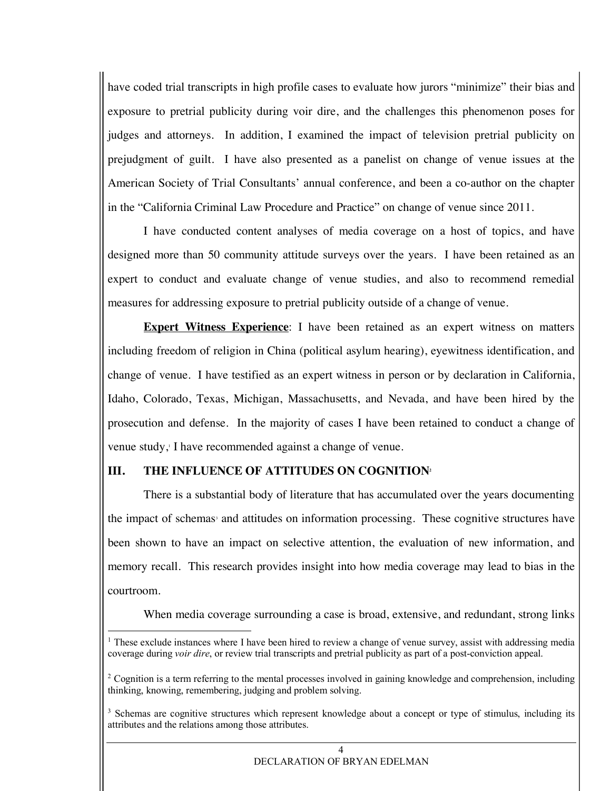have coded trial transcripts in high profile cases to evaluate how jurors "minimize" their bias and exposure to pretrial publicity during voir dire, and the challenges this phenomenon poses for judges and attorneys. In addition, I examined the impact of television pretrial publicity on prejudgment of guilt. I have also presented as a panelist on change of venue issues at the American Society of Trial Consultants' annual conference, and been a co-author on the chapter in the "California Criminal Law Procedure and Practice" on change of venue since 2011.

I have conducted content analyses of media coverage on a host of topics, and have designed more than 50 community attitude surveys over the years. I have been retained as an expert to conduct and evaluate change of venue studies, and also to recommend remedial measures for addressing exposure to pretrial publicity outside of a change of venue.

**Expert Witness Experience**: I have been retained as an expert witness on matters including freedom of religion in China (political asylum hearing), eyewitness identification, and change of venue. I have testified as an expert witness in person or by declaration in California, Idaho, Colorado, Texas, Michigan, Massachusetts, and Nevada, and have been hired by the prosecution and defense. In the majority of cases I have been retained to conduct a change of venue study, I have recommended against a change of venue.

#### **III.** THE INFLUENCE OF ATTITUDES ON COGNITION<sup>2</sup>

There is a substantial body of literature that has accumulated over the years documenting the impact of schemas<sup>3</sup> and attitudes on information processing. These cognitive structures have been shown to have an impact on selective attention, the evaluation of new information, and memory recall. This research provides insight into how media coverage may lead to bias in the courtroom.

When media coverage surrounding a case is broad, extensive, and redundant, strong links

 $1$  These exclude instances where I have been hired to review a change of venue survey, assist with addressing media coverage during *voir dire*, or review trial transcripts and pretrial publicity as part of a post-conviction appeal.

<sup>&</sup>lt;sup>2</sup> Cognition is a term referring to the mental processes involved in gaining knowledge and comprehension, including thinking, knowing, remembering, judging and problem solving.

<sup>&</sup>lt;sup>3</sup> Schemas are cognitive structures which represent knowledge about a concept or type of stimulus, including its attributes and the relations among those attributes.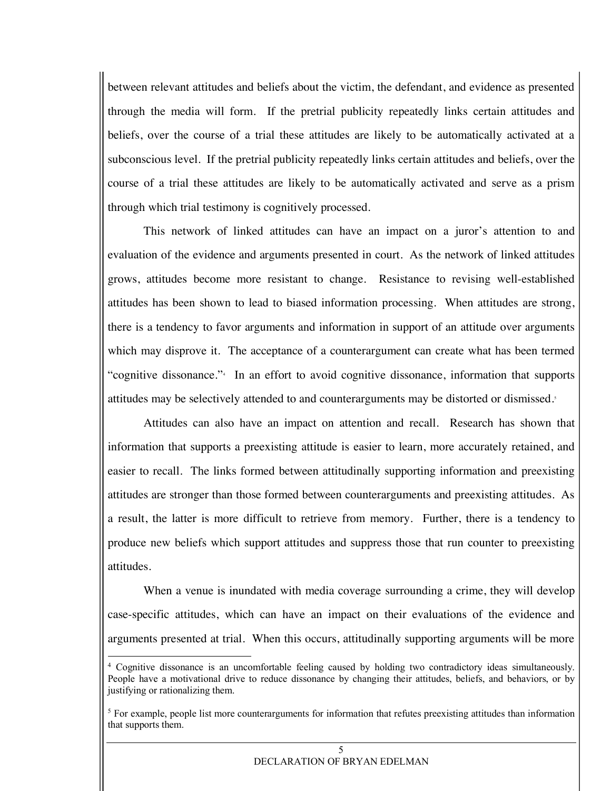between relevant attitudes and beliefs about the victim, the defendant, and evidence as presented through the media will form. If the pretrial publicity repeatedly links certain attitudes and beliefs, over the course of a trial these attitudes are likely to be automatically activated at a subconscious level. If the pretrial publicity repeatedly links certain attitudes and beliefs, over the course of a trial these attitudes are likely to be automatically activated and serve as a prism through which trial testimony is cognitively processed.

This network of linked attitudes can have an impact on a juror's attention to and evaluation of the evidence and arguments presented in court. As the network of linked attitudes grows, attitudes become more resistant to change. Resistance to revising well-established attitudes has been shown to lead to biased information processing. When attitudes are strong, there is a tendency to favor arguments and information in support of an attitude over arguments which may disprove it. The acceptance of a counterargument can create what has been termed "cognitive dissonance." In an effort to avoid cognitive dissonance, information that supports attitudes may be selectively attended to and counterarguments may be distorted or dismissed.<sup>5</sup>

Attitudes can also have an impact on attention and recall. Research has shown that information that supports a preexisting attitude is easier to learn, more accurately retained, and easier to recall. The links formed between attitudinally supporting information and preexisting attitudes are stronger than those formed between counterarguments and preexisting attitudes. As a result, the latter is more difficult to retrieve from memory. Further, there is a tendency to produce new beliefs which support attitudes and suppress those that run counter to preexisting attitudes.

When a venue is inundated with media coverage surrounding a crime, they will develop case-specific attitudes, which can have an impact on their evaluations of the evidence and arguments presented at trial. When this occurs, attitudinally supporting arguments will be more

 <sup>4</sup> Cognitive dissonance is an uncomfortable feeling caused by holding two contradictory ideas simultaneously. People have a motivational drive to reduce dissonance by changing their attitudes, beliefs, and behaviors, or by justifying or rationalizing them.

 $5$  For example, people list more counterarguments for information that refutes preexisting attitudes than information that supports them.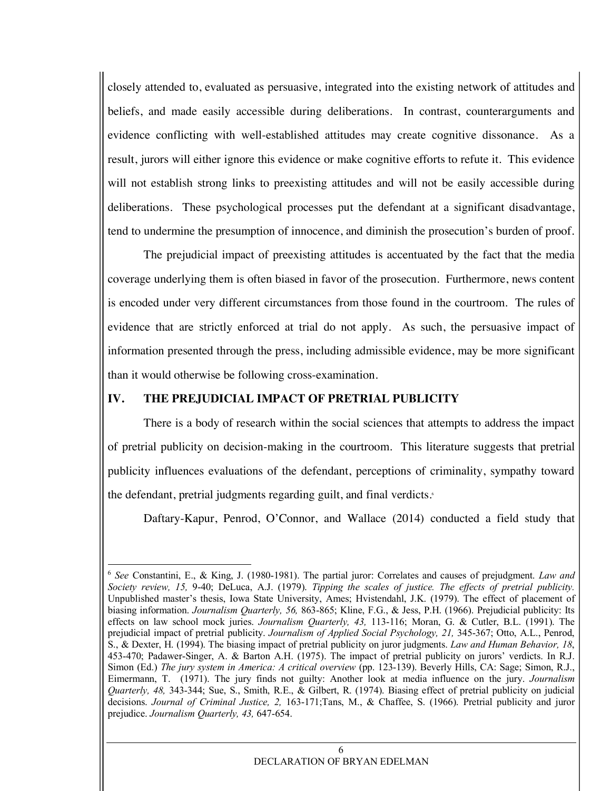closely attended to, evaluated as persuasive, integrated into the existing network of attitudes and beliefs, and made easily accessible during deliberations. In contrast, counterarguments and evidence conflicting with well-established attitudes may create cognitive dissonance. As a result, jurors will either ignore this evidence or make cognitive efforts to refute it. This evidence will not establish strong links to preexisting attitudes and will not be easily accessible during deliberations. These psychological processes put the defendant at a significant disadvantage, tend to undermine the presumption of innocence, and diminish the prosecution's burden of proof.

The prejudicial impact of preexisting attitudes is accentuated by the fact that the media coverage underlying them is often biased in favor of the prosecution. Furthermore, news content is encoded under very different circumstances from those found in the courtroom. The rules of evidence that are strictly enforced at trial do not apply. As such, the persuasive impact of information presented through the press, including admissible evidence, may be more significant than it would otherwise be following cross-examination.

#### **IV. THE PREJUDICIAL IMPACT OF PRETRIAL PUBLICITY**

There is a body of research within the social sciences that attempts to address the impact of pretrial publicity on decision-making in the courtroom. This literature suggests that pretrial publicity influences evaluations of the defendant, perceptions of criminality, sympathy toward the defendant, pretrial judgments regarding guilt, and final verdicts.6

Daftary-Kapur, Penrod, O'Connor, and Wallace (2014) conducted a field study that

 <sup>6</sup> *See* Constantini, E., & King, J. (1980-1981). The partial juror: Correlates and causes of prejudgment. *Law and Society review, 15,* 9-40; DeLuca, A.J. (1979). *Tipping the scales of justice. The effects of pretrial publicity.* Unpublished master's thesis, Iowa State University, Ames; Hvistendahl, J.K. (1979). The effect of placement of biasing information. *Journalism Quarterly, 56,* 863-865; Kline, F.G., & Jess, P.H. (1966). Prejudicial publicity: Its effects on law school mock juries. *Journalism Quarterly, 43,* 113-116; Moran, G. & Cutler, B.L. (1991). The prejudicial impact of pretrial publicity. *Journalism of Applied Social Psychology, 21,* 345-367; Otto, A.L., Penrod, S., & Dexter, H. (1994). The biasing impact of pretrial publicity on juror judgments. *Law and Human Behavior, 18*, 453-470; Padawer-Singer, A. & Barton A.H. (1975). The impact of pretrial publicity on jurors' verdicts. In R.J. Simon (Ed.) *The jury system in America: A critical overview* (pp. 123-139). Beverly Hills, CA: Sage; Simon, R.J., Eimermann, T. (1971). The jury finds not guilty: Another look at media influence on the jury. *Journalism Quarterly, 48,* 343-344; Sue, S., Smith, R.E., & Gilbert, R. (1974). Biasing effect of pretrial publicity on judicial decisions. *Journal of Criminal Justice, 2,* 163-171;Tans, M., & Chaffee, S. (1966). Pretrial publicity and juror prejudice. *Journalism Quarterly, 43,* 647-654.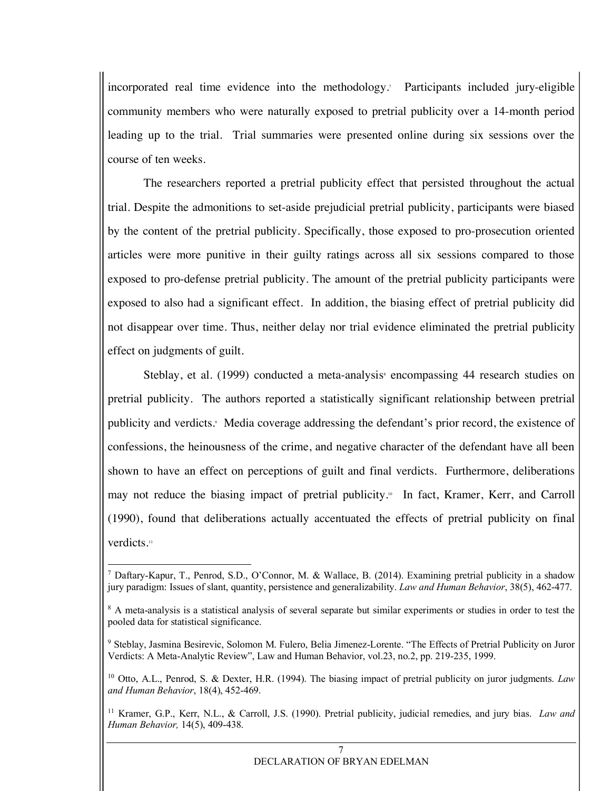incorporated real time evidence into the methodology.7 Participants included jury-eligible community members who were naturally exposed to pretrial publicity over a 14-month period leading up to the trial. Trial summaries were presented online during six sessions over the course of ten weeks.

The researchers reported a pretrial publicity effect that persisted throughout the actual trial. Despite the admonitions to set-aside prejudicial pretrial publicity, participants were biased by the content of the pretrial publicity. Specifically, those exposed to pro-prosecution oriented articles were more punitive in their guilty ratings across all six sessions compared to those exposed to pro-defense pretrial publicity. The amount of the pretrial publicity participants were exposed to also had a significant effect. In addition, the biasing effect of pretrial publicity did not disappear over time. Thus, neither delay nor trial evidence eliminated the pretrial publicity effect on judgments of guilt.

Steblay, et al.  $(1999)$  conducted a meta-analysis encompassing 44 research studies on pretrial publicity. The authors reported a statistically significant relationship between pretrial publicity and verdicts.<sup>9</sup> Media coverage addressing the defendant's prior record, the existence of confessions, the heinousness of the crime, and negative character of the defendant have all been shown to have an effect on perceptions of guilt and final verdicts. Furthermore, deliberations may not reduce the biasing impact of pretrial publicity.10 In fact, Kramer, Kerr, and Carroll (1990), found that deliberations actually accentuated the effects of pretrial publicity on final verdicts.<sup>11</sup>

 <sup>7</sup> Daftary-Kapur, T., Penrod, S.D., O'Connor, M. & Wallace, B. (2014). Examining pretrial publicity in a shadow jury paradigm: Issues of slant, quantity, persistence and generalizability. *Law and Human Behavior*, 38(5), 462-477.

<sup>&</sup>lt;sup>8</sup> A meta-analysis is a statistical analysis of several separate but similar experiments or studies in order to test the pooled data for statistical significance.

<sup>9</sup> Steblay, Jasmina Besirevic, Solomon M. Fulero, Belia Jimenez-Lorente. "The Effects of Pretrial Publicity on Juror Verdicts: A Meta-Analytic Review", Law and Human Behavior, vol.23, no.2, pp. 219-235, 1999.

<sup>10</sup> Otto, A.L., Penrod, S. & Dexter, H.R. (1994). The biasing impact of pretrial publicity on juror judgments. *Law and Human Behavior*, 18(4), 452-469.

<sup>11</sup> Kramer, G.P., Kerr, N.L., & Carroll, J.S. (1990). Pretrial publicity, judicial remedies, and jury bias. *Law and Human Behavior,* 14(5), 409-438.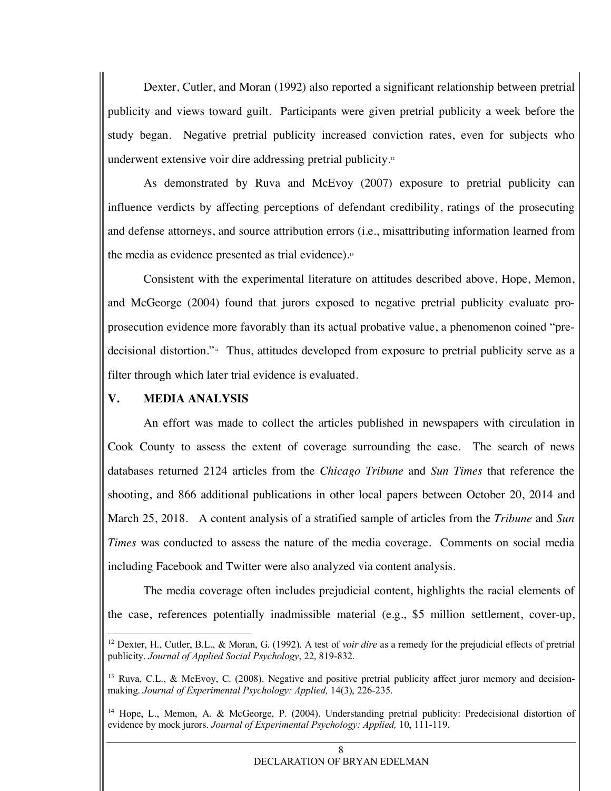Dexter, Cutler, and Moran (1992) also reported a significant relationship between pretrial publicity and views toward guilt. Participants were given pretrial publicity a week before the study began. Negative pretrial publicity increased conviction rates, even for subjects who underwent extensive voir dire addressing pretrial publicity.<sup>12</sup>

As demonstrated by Ruva and McEvoy (2007) exposure to pretrial publicity can influence verdicts by affecting perceptions of defendant credibility, ratings of the prosecuting and defense attorneys, and source attribution errors (i.e., misattributing information learned from the media as evidence presented as trial evidence).13

Consistent with the experimental literature on attitudes described above, Hope, Memon, and McGeorge (2004) found that jurors exposed to negative pretrial publicity evaluate proprosecution evidence more favorably than its actual probative value, a phenomenon coined "predecisional distortion."14 Thus, attitudes developed from exposure to pretrial publicity serve as a filter through which later trial evidence is evaluated.

### **V. MEDIA ANALYSIS**

An effort was made to collect the articles published in newspapers with circulation in Cook County to assess the extent of coverage surrounding the case. The search of news databases returned 2124 articles from the *Chicago Tribune* and *Sun Times* that reference the shooting, and 866 additional publications in other local papers between October 20, 2014 and March 25, 2018. A content analysis of a stratified sample of articles from the *Tribune* and *Sun Times* was conducted to assess the nature of the media coverage. Comments on social media including Facebook and Twitter were also analyzed via content analysis.

The media coverage often includes prejudicial content, highlights the racial elements of the case, references potentially inadmissible material (e.g., \$5 million settlement, cover-up,

 <sup>12</sup> Dexter, H., Cutler, B.L., & Moran, G. (1992). A test of *voir dire* as a remedy for the prejudicial effects of pretrial publicity. *Journal of Applied Social Psychology*, 22, 819-832.

<sup>&</sup>lt;sup>13</sup> Ruva, C.L., & McEvoy, C. (2008). Negative and positive pretrial publicity affect juror memory and decisionmaking. *Journal of Experimental Psychology: Applied,* 14(3), 226-235.

<sup>&</sup>lt;sup>14</sup> Hope, L., Memon, A. & McGeorge, P. (2004). Understanding pretrial publicity: Predecisional distortion of evidence by mock jurors. *Journal of Experimental Psychology: Applied,* 10, 111-119.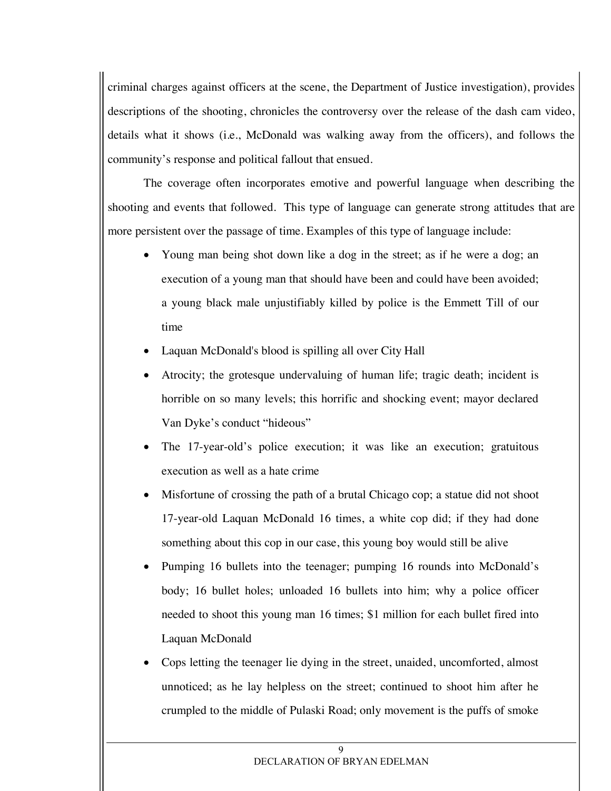criminal charges against officers at the scene, the Department of Justice investigation), provides descriptions of the shooting, chronicles the controversy over the release of the dash cam video, details what it shows (i.e., McDonald was walking away from the officers), and follows the community's response and political fallout that ensued.

The coverage often incorporates emotive and powerful language when describing the shooting and events that followed. This type of language can generate strong attitudes that are more persistent over the passage of time. Examples of this type of language include:

- Young man being shot down like a dog in the street; as if he were a dog; an execution of a young man that should have been and could have been avoided; a young black male unjustifiably killed by police is the Emmett Till of our time
- Laquan McDonald's blood is spilling all over City Hall
- Atrocity; the grotesque undervaluing of human life; tragic death; incident is horrible on so many levels; this horrific and shocking event; mayor declared Van Dyke's conduct "hideous"
- The 17-year-old's police execution; it was like an execution; gratuitous execution as well as a hate crime
- Misfortune of crossing the path of a brutal Chicago cop; a statue did not shoot 17-year-old Laquan McDonald 16 times, a white cop did; if they had done something about this cop in our case, this young boy would still be alive
- Pumping 16 bullets into the teenager; pumping 16 rounds into McDonald's body; 16 bullet holes; unloaded 16 bullets into him; why a police officer needed to shoot this young man 16 times; \$1 million for each bullet fired into Laquan McDonald
- Cops letting the teenager lie dying in the street, unaided, uncomforted, almost unnoticed; as he lay helpless on the street; continued to shoot him after he crumpled to the middle of Pulaski Road; only movement is the puffs of smoke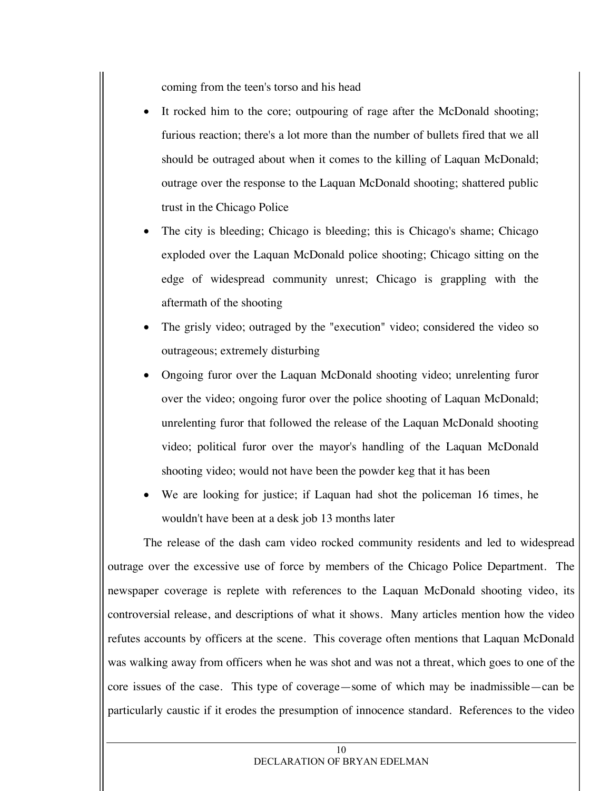coming from the teen's torso and his head

- It rocked him to the core; outpouring of rage after the McDonald shooting; furious reaction; there's a lot more than the number of bullets fired that we all should be outraged about when it comes to the killing of Laquan McDonald; outrage over the response to the Laquan McDonald shooting; shattered public trust in the Chicago Police
- The city is bleeding; Chicago is bleeding; this is Chicago's shame; Chicago exploded over the Laquan McDonald police shooting; Chicago sitting on the edge of widespread community unrest; Chicago is grappling with the aftermath of the shooting
- The grisly video; outraged by the "execution" video; considered the video so outrageous; extremely disturbing
- Ongoing furor over the Laquan McDonald shooting video; unrelenting furor over the video; ongoing furor over the police shooting of Laquan McDonald; unrelenting furor that followed the release of the Laquan McDonald shooting video; political furor over the mayor's handling of the Laquan McDonald shooting video; would not have been the powder keg that it has been
- We are looking for justice; if Laquan had shot the policeman 16 times, he wouldn't have been at a desk job 13 months later

The release of the dash cam video rocked community residents and led to widespread outrage over the excessive use of force by members of the Chicago Police Department. The newspaper coverage is replete with references to the Laquan McDonald shooting video, its controversial release, and descriptions of what it shows. Many articles mention how the video refutes accounts by officers at the scene. This coverage often mentions that Laquan McDonald was walking away from officers when he was shot and was not a threat, which goes to one of the core issues of the case. This type of coverage—some of which may be inadmissible—can be particularly caustic if it erodes the presumption of innocence standard. References to the video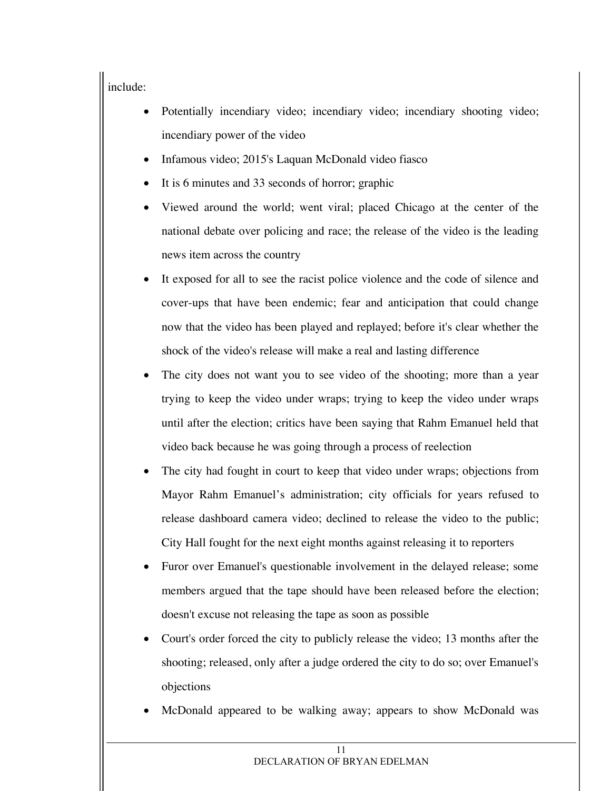# include:

- Potentially incendiary video; incendiary video; incendiary shooting video; incendiary power of the video
- Infamous video; 2015's Laquan McDonald video fiasco
- It is 6 minutes and 33 seconds of horror; graphic
- Viewed around the world; went viral; placed Chicago at the center of the national debate over policing and race; the release of the video is the leading news item across the country
- It exposed for all to see the racist police violence and the code of silence and cover-ups that have been endemic; fear and anticipation that could change now that the video has been played and replayed; before it's clear whether the shock of the video's release will make a real and lasting difference
- The city does not want you to see video of the shooting; more than a year trying to keep the video under wraps; trying to keep the video under wraps until after the election; critics have been saying that Rahm Emanuel held that video back because he was going through a process of reelection
- The city had fought in court to keep that video under wraps; objections from Mayor Rahm Emanuel's administration; city officials for years refused to release dashboard camera video; declined to release the video to the public; City Hall fought for the next eight months against releasing it to reporters
- Furor over Emanuel's questionable involvement in the delayed release; some members argued that the tape should have been released before the election; doesn't excuse not releasing the tape as soon as possible
- Court's order forced the city to publicly release the video; 13 months after the shooting; released, only after a judge ordered the city to do so; over Emanuel's objections
- McDonald appeared to be walking away; appears to show McDonald was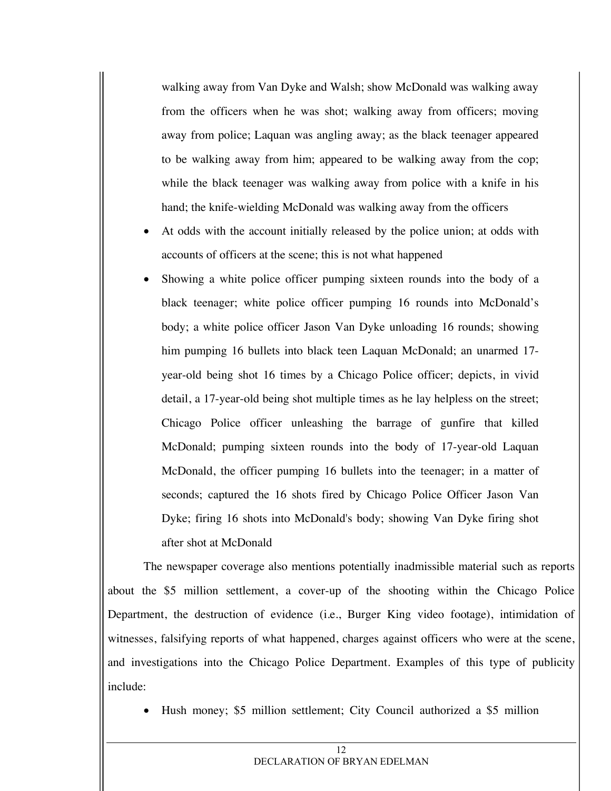walking away from Van Dyke and Walsh; show McDonald was walking away from the officers when he was shot; walking away from officers; moving away from police; Laquan was angling away; as the black teenager appeared to be walking away from him; appeared to be walking away from the cop; while the black teenager was walking away from police with a knife in his hand; the knife-wielding McDonald was walking away from the officers

- At odds with the account initially released by the police union; at odds with accounts of officers at the scene; this is not what happened
- Showing a white police officer pumping sixteen rounds into the body of a black teenager; white police officer pumping 16 rounds into McDonald's body; a white police officer Jason Van Dyke unloading 16 rounds; showing him pumping 16 bullets into black teen Laquan McDonald; an unarmed 17 year-old being shot 16 times by a Chicago Police officer; depicts, in vivid detail, a 17-year-old being shot multiple times as he lay helpless on the street; Chicago Police officer unleashing the barrage of gunfire that killed McDonald; pumping sixteen rounds into the body of 17-year-old Laquan McDonald, the officer pumping 16 bullets into the teenager; in a matter of seconds; captured the 16 shots fired by Chicago Police Officer Jason Van Dyke; firing 16 shots into McDonald's body; showing Van Dyke firing shot after shot at McDonald

The newspaper coverage also mentions potentially inadmissible material such as reports about the \$5 million settlement, a cover-up of the shooting within the Chicago Police Department, the destruction of evidence (i.e., Burger King video footage), intimidation of witnesses, falsifying reports of what happened, charges against officers who were at the scene, and investigations into the Chicago Police Department. Examples of this type of publicity include:

• Hush money; \$5 million settlement; City Council authorized a \$5 million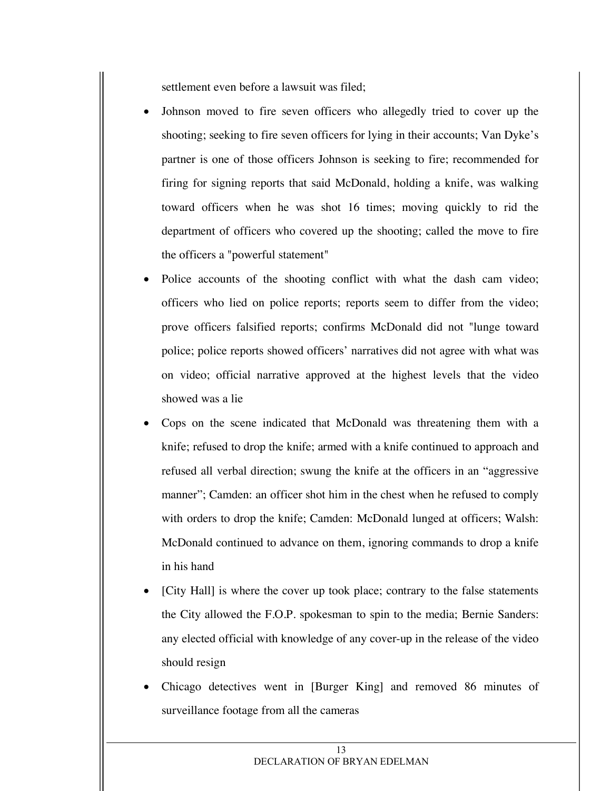settlement even before a lawsuit was filed;

- Johnson moved to fire seven officers who allegedly tried to cover up the shooting; seeking to fire seven officers for lying in their accounts; Van Dyke's partner is one of those officers Johnson is seeking to fire; recommended for firing for signing reports that said McDonald, holding a knife, was walking toward officers when he was shot 16 times; moving quickly to rid the department of officers who covered up the shooting; called the move to fire the officers a "powerful statement"
- Police accounts of the shooting conflict with what the dash cam video; officers who lied on police reports; reports seem to differ from the video; prove officers falsified reports; confirms McDonald did not "lunge toward police; police reports showed officers' narratives did not agree with what was on video; official narrative approved at the highest levels that the video showed was a lie
- Cops on the scene indicated that McDonald was threatening them with a knife; refused to drop the knife; armed with a knife continued to approach and refused all verbal direction; swung the knife at the officers in an "aggressive manner"; Camden: an officer shot him in the chest when he refused to comply with orders to drop the knife; Camden: McDonald lunged at officers; Walsh: McDonald continued to advance on them, ignoring commands to drop a knife in his hand
- [City Hall] is where the cover up took place; contrary to the false statements the City allowed the F.O.P. spokesman to spin to the media; Bernie Sanders: any elected official with knowledge of any cover-up in the release of the video should resign
- Chicago detectives went in [Burger King] and removed 86 minutes of surveillance footage from all the cameras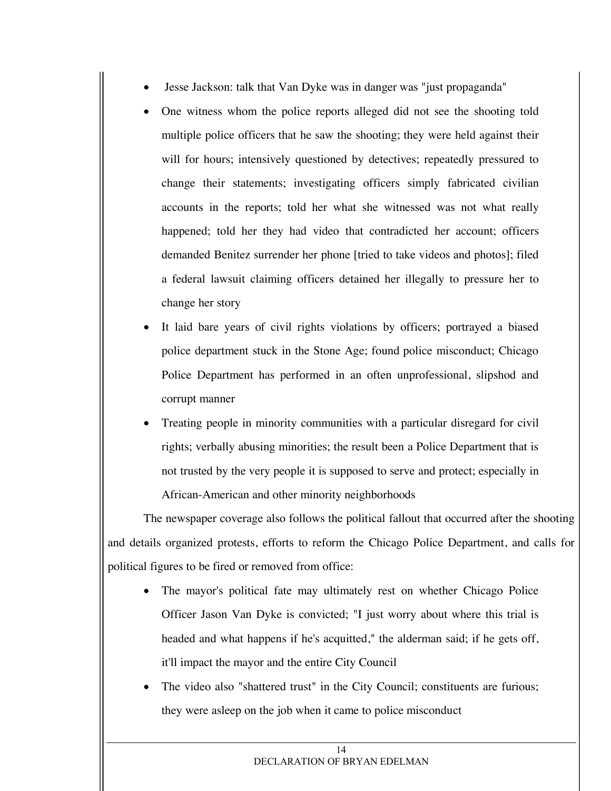- Jesse Jackson: talk that Van Dyke was in danger was "just propaganda"
- One witness whom the police reports alleged did not see the shooting told multiple police officers that he saw the shooting; they were held against their will for hours; intensively questioned by detectives; repeatedly pressured to change their statements; investigating officers simply fabricated civilian accounts in the reports; told her what she witnessed was not what really happened; told her they had video that contradicted her account; officers demanded Benitez surrender her phone [tried to take videos and photos]; filed a federal lawsuit claiming officers detained her illegally to pressure her to change her story
- It laid bare years of civil rights violations by officers; portrayed a biased police department stuck in the Stone Age; found police misconduct; Chicago Police Department has performed in an often unprofessional, slipshod and corrupt manner
- Treating people in minority communities with a particular disregard for civil rights; verbally abusing minorities; the result been a Police Department that is not trusted by the very people it is supposed to serve and protect; especially in African-American and other minority neighborhoods

The newspaper coverage also follows the political fallout that occurred after the shooting and details organized protests, efforts to reform the Chicago Police Department, and calls for political figures to be fired or removed from office:

- The mayor's political fate may ultimately rest on whether Chicago Police Officer Jason Van Dyke is convicted; "I just worry about where this trial is headed and what happens if he's acquitted," the alderman said; if he gets off, it'll impact the mayor and the entire City Council
- The video also "shattered trust" in the City Council; constituents are furious; they were asleep on the job when it came to police misconduct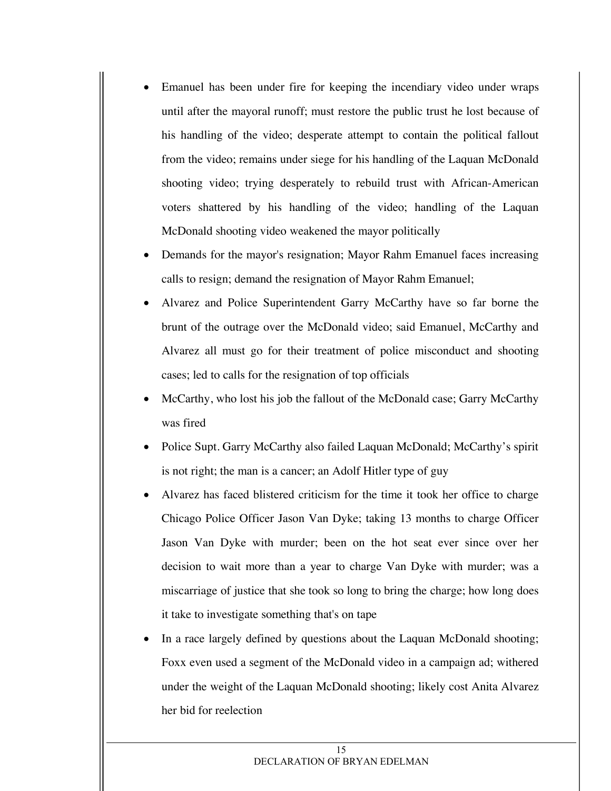- Emanuel has been under fire for keeping the incendiary video under wraps until after the mayoral runoff; must restore the public trust he lost because of his handling of the video; desperate attempt to contain the political fallout from the video; remains under siege for his handling of the Laquan McDonald shooting video; trying desperately to rebuild trust with African-American voters shattered by his handling of the video; handling of the Laquan McDonald shooting video weakened the mayor politically
- Demands for the mayor's resignation; Mayor Rahm Emanuel faces increasing calls to resign; demand the resignation of Mayor Rahm Emanuel;
- Alvarez and Police Superintendent Garry McCarthy have so far borne the brunt of the outrage over the McDonald video; said Emanuel, McCarthy and Alvarez all must go for their treatment of police misconduct and shooting cases; led to calls for the resignation of top officials
- McCarthy, who lost his job the fallout of the McDonald case; Garry McCarthy was fired
- Police Supt. Garry McCarthy also failed Laquan McDonald; McCarthy's spirit is not right; the man is a cancer; an Adolf Hitler type of guy
- Alvarez has faced blistered criticism for the time it took her office to charge Chicago Police Officer Jason Van Dyke; taking 13 months to charge Officer Jason Van Dyke with murder; been on the hot seat ever since over her decision to wait more than a year to charge Van Dyke with murder; was a miscarriage of justice that she took so long to bring the charge; how long does it take to investigate something that's on tape
- In a race largely defined by questions about the Laquan McDonald shooting; Foxx even used a segment of the McDonald video in a campaign ad; withered under the weight of the Laquan McDonald shooting; likely cost Anita Alvarez her bid for reelection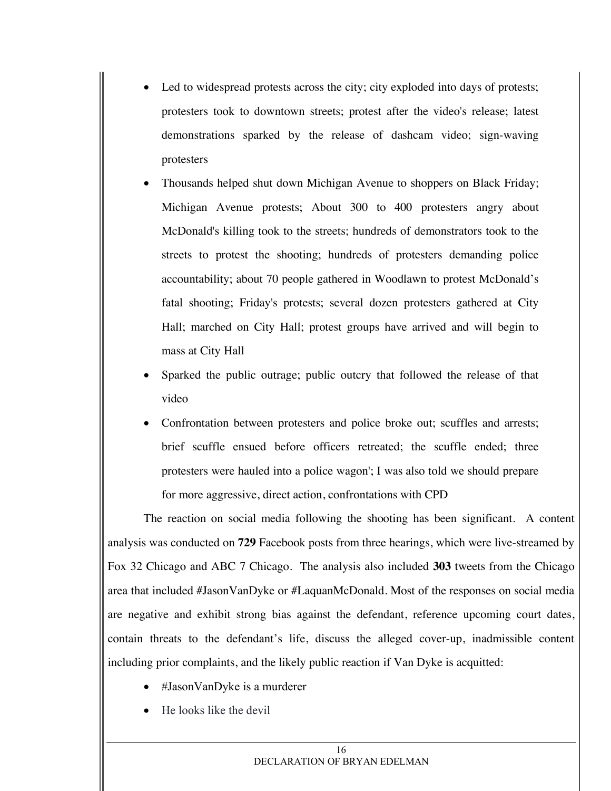- Led to widespread protests across the city; city exploded into days of protests; protesters took to downtown streets; protest after the video's release; latest demonstrations sparked by the release of dashcam video; sign-waving protesters
- Thousands helped shut down Michigan Avenue to shoppers on Black Friday; Michigan Avenue protests; About 300 to 400 protesters angry about McDonald's killing took to the streets; hundreds of demonstrators took to the streets to protest the shooting; hundreds of protesters demanding police accountability; about 70 people gathered in Woodlawn to protest McDonald's fatal shooting; Friday's protests; several dozen protesters gathered at City Hall; marched on City Hall; protest groups have arrived and will begin to mass at City Hall
- Sparked the public outrage; public outcry that followed the release of that video
- Confrontation between protesters and police broke out; scuffles and arrests; brief scuffle ensued before officers retreated; the scuffle ended; three protesters were hauled into a police wagon'; I was also told we should prepare for more aggressive, direct action, confrontations with CPD

The reaction on social media following the shooting has been significant. A content analysis was conducted on **729** Facebook posts from three hearings, which were live-streamed by Fox 32 Chicago and ABC 7 Chicago. The analysis also included **303** tweets from the Chicago area that included #JasonVanDyke or #LaquanMcDonald. Most of the responses on social media are negative and exhibit strong bias against the defendant, reference upcoming court dates, contain threats to the defendant's life, discuss the alleged cover-up, inadmissible content including prior complaints, and the likely public reaction if Van Dyke is acquitted:

- #JasonVanDyke is a murderer
- He looks like the devil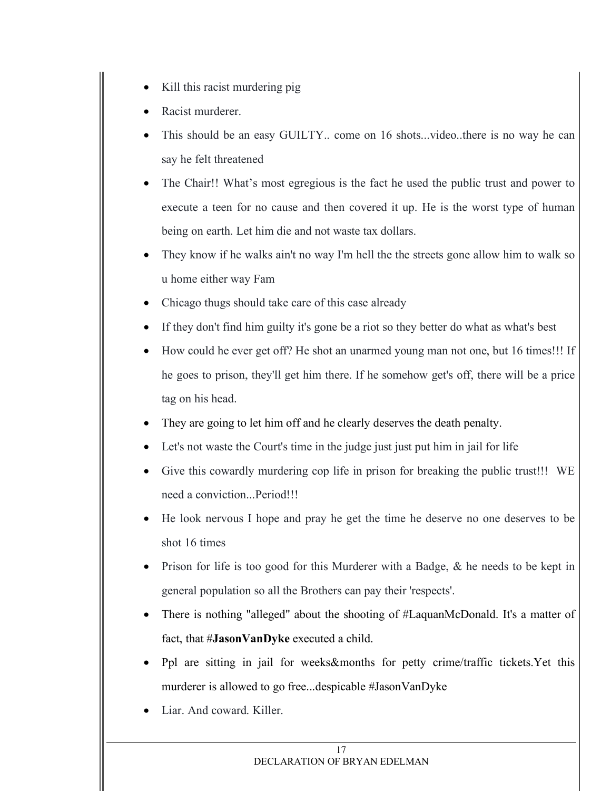- Kill this racist murdering pig
- Racist murderer.
- This should be an easy GUILTY... come on 16 shots...video..there is no way he can say he felt threatened
- The Chair!! What's most egregious is the fact he used the public trust and power to execute a teen for no cause and then covered it up. He is the worst type of human being on earth. Let him die and not waste tax dollars.
- They know if he walks ain't no way I'm hell the the streets gone allow him to walk so u home either way Fam
- Chicago thugs should take care of this case already
- If they don't find him guilty it's gone be a riot so they better do what as what's best
- How could he ever get off? He shot an unarmed young man not one, but 16 times!!! If he goes to prison, they'll get him there. If he somehow get's off, there will be a price tag on his head.
- They are going to let him off and he clearly deserves the death penalty.
- Let's not waste the Court's time in the judge just just put him in jail for life
- Give this cowardly murdering cop life in prison for breaking the public trust!!! WE need a conviction...Period!!!
- He look nervous I hope and pray he get the time he deserve no one deserves to be shot 16 times
- Prison for life is too good for this Murderer with a Badge,  $\&$  he needs to be kept in general population so all the Brothers can pay their 'respects'.
- There is nothing "alleged" about the shooting of #LaquanMcDonald. It's a matter of fact, that #**JasonVanDyke** executed a child.
- Ppl are sitting in jail for weeks&months for petty crime/traffic tickets.Yet this murderer is allowed to go free...despicable #JasonVanDyke
- Liar. And coward. Killer.

#### 17 DECLARATION OF BRYAN EDELMAN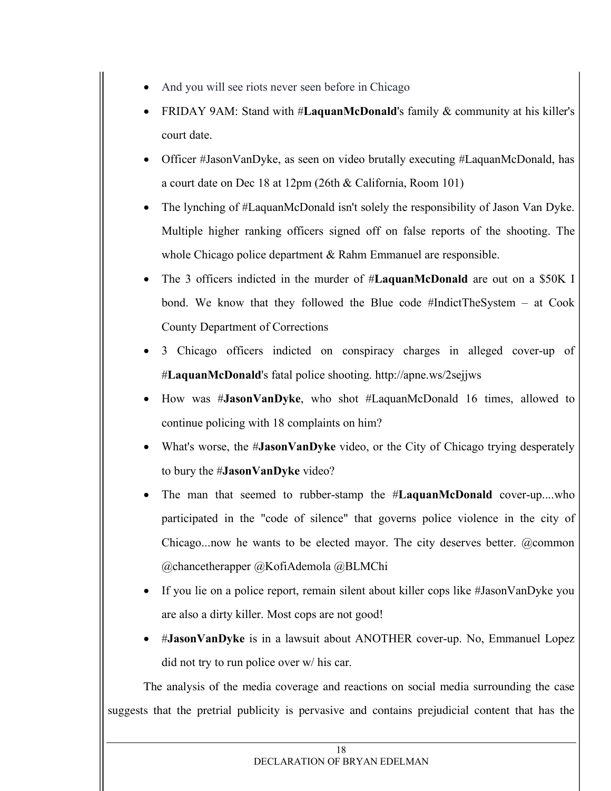- And you will see riots never seen before in Chicago
- FRIDAY 9AM: Stand with #**LaquanMcDonald**'s family & community at his killer's court date.
- Officer #JasonVanDyke, as seen on video brutally executing #LaquanMcDonald, has a court date on Dec 18 at 12pm (26th & California, Room 101)
- The lynching of #LaquanMcDonald isn't solely the responsibility of Jason Van Dyke. Multiple higher ranking officers signed off on false reports of the shooting. The whole Chicago police department & Rahm Emmanuel are responsible.
- The 3 officers indicted in the murder of #**LaquanMcDonald** are out on a \$50K I bond. We know that they followed the Blue code #IndictTheSystem – at Cook County Department of Corrections
- 3 Chicago officers indicted on conspiracy charges in alleged cover-up of #**LaquanMcDonald**'s fatal police shooting. http://apne.ws/2sejjws
- How was #**JasonVanDyke**, who shot #LaquanMcDonald 16 times, allowed to continue policing with 18 complaints on him?
- What's worse, the #**JasonVanDyke** video, or the City of Chicago trying desperately to bury the #**JasonVanDyke** video?
- The man that seemed to rubber-stamp the #**LaquanMcDonald** cover-up....who participated in the "code of silence" that governs police violence in the city of Chicago...now he wants to be elected mayor. The city deserves better. @common @chancetherapper @KofiAdemola @BLMChi
- If you lie on a police report, remain silent about killer cops like #JasonVanDyke you are also a dirty killer. Most cops are not good!
- #**JasonVanDyke** is in a lawsuit about ANOTHER cover-up. No, Emmanuel Lopez did not try to run police over w/ his car.

The analysis of the media coverage and reactions on social media surrounding the case suggests that the pretrial publicity is pervasive and contains prejudicial content that has the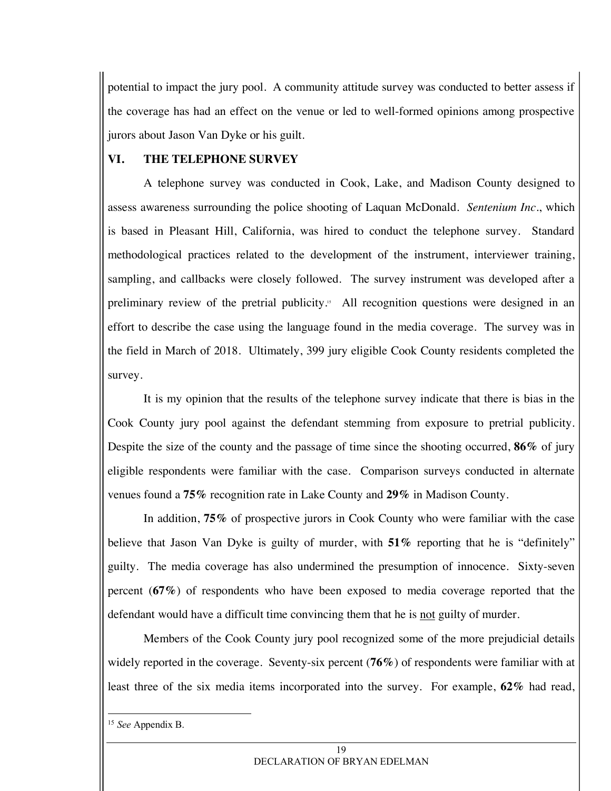potential to impact the jury pool. A community attitude survey was conducted to better assess if the coverage has had an effect on the venue or led to well-formed opinions among prospective jurors about Jason Van Dyke or his guilt.

# **VI. THE TELEPHONE SURVEY**

A telephone survey was conducted in Cook, Lake, and Madison County designed to assess awareness surrounding the police shooting of Laquan McDonald. *Sentenium Inc*., which is based in Pleasant Hill, California, was hired to conduct the telephone survey. Standard methodological practices related to the development of the instrument, interviewer training, sampling, and callbacks were closely followed. The survey instrument was developed after a preliminary review of the pretrial publicity.<sup>15</sup> All recognition questions were designed in an effort to describe the case using the language found in the media coverage. The survey was in the field in March of 2018. Ultimately, 399 jury eligible Cook County residents completed the survey.

It is my opinion that the results of the telephone survey indicate that there is bias in the Cook County jury pool against the defendant stemming from exposure to pretrial publicity. Despite the size of the county and the passage of time since the shooting occurred, **86%** of jury eligible respondents were familiar with the case. Comparison surveys conducted in alternate venues found a **75%** recognition rate in Lake County and **29%** in Madison County.

In addition, **75%** of prospective jurors in Cook County who were familiar with the case believe that Jason Van Dyke is guilty of murder, with **51%** reporting that he is "definitely" guilty. The media coverage has also undermined the presumption of innocence. Sixty-seven percent (**67%**) of respondents who have been exposed to media coverage reported that the defendant would have a difficult time convincing them that he is not guilty of murder.

Members of the Cook County jury pool recognized some of the more prejudicial details widely reported in the coverage. Seventy-six percent (**76%**) of respondents were familiar with at least three of the six media items incorporated into the survey. For example, **62%** had read,

 <sup>15</sup> *See* Appendix B.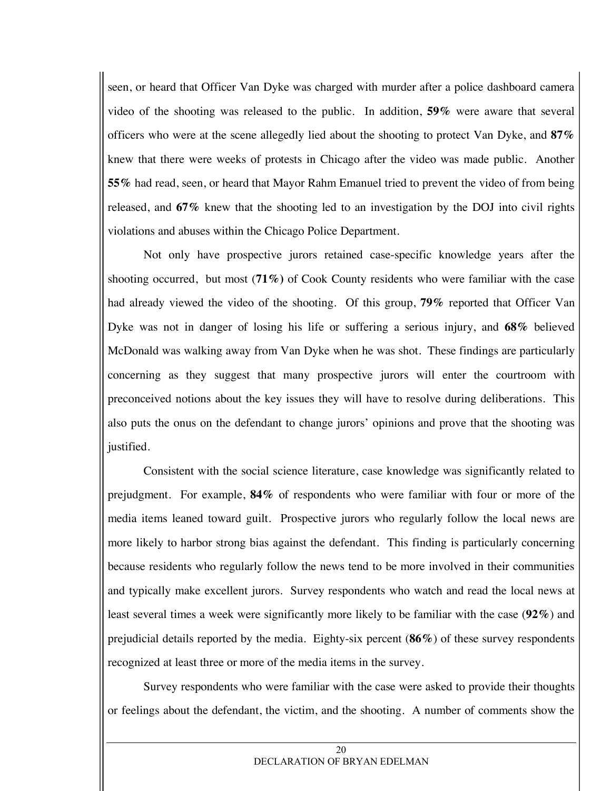seen, or heard that Officer Van Dyke was charged with murder after a police dashboard camera video of the shooting was released to the public. In addition, **59%** were aware that several officers who were at the scene allegedly lied about the shooting to protect Van Dyke, and **87%** knew that there were weeks of protests in Chicago after the video was made public. Another **55%** had read, seen, or heard that Mayor Rahm Emanuel tried to prevent the video of from being released, and **67%** knew that the shooting led to an investigation by the DOJ into civil rights violations and abuses within the Chicago Police Department.

Not only have prospective jurors retained case-specific knowledge years after the shooting occurred, but most (**71%)** of Cook County residents who were familiar with the case had already viewed the video of the shooting. Of this group, **79%** reported that Officer Van Dyke was not in danger of losing his life or suffering a serious injury, and **68%** believed McDonald was walking away from Van Dyke when he was shot. These findings are particularly concerning as they suggest that many prospective jurors will enter the courtroom with preconceived notions about the key issues they will have to resolve during deliberations. This also puts the onus on the defendant to change jurors' opinions and prove that the shooting was justified.

Consistent with the social science literature, case knowledge was significantly related to prejudgment. For example, **84%** of respondents who were familiar with four or more of the media items leaned toward guilt. Prospective jurors who regularly follow the local news are more likely to harbor strong bias against the defendant. This finding is particularly concerning because residents who regularly follow the news tend to be more involved in their communities and typically make excellent jurors. Survey respondents who watch and read the local news at least several times a week were significantly more likely to be familiar with the case (**92%**) and prejudicial details reported by the media. Eighty-six percent (**86%**) of these survey respondents recognized at least three or more of the media items in the survey.

Survey respondents who were familiar with the case were asked to provide their thoughts or feelings about the defendant, the victim, and the shooting. A number of comments show the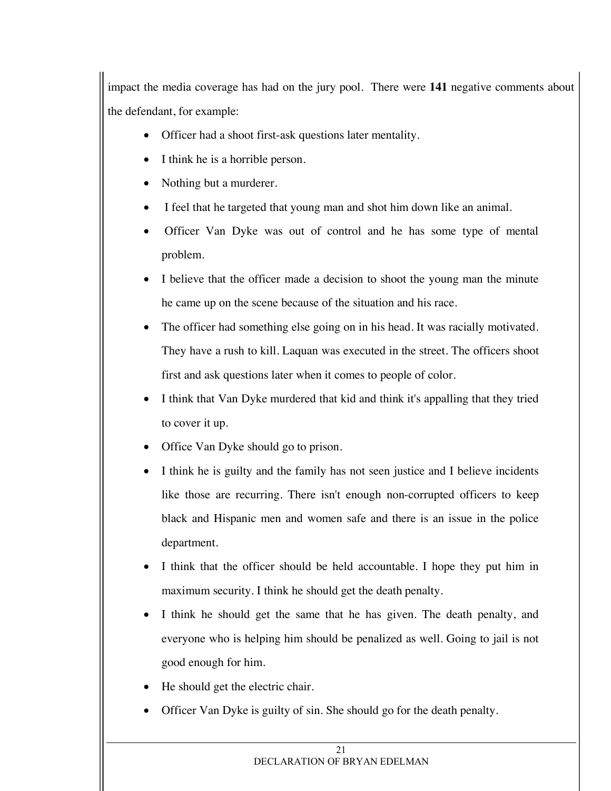impact the media coverage has had on the jury pool. There were **141** negative comments about the defendant, for example:

- Officer had a shoot first-ask questions later mentality.
- I think he is a horrible person.
- Nothing but a murderer.
- I feel that he targeted that young man and shot him down like an animal.
- Officer Van Dyke was out of control and he has some type of mental problem.
- I believe that the officer made a decision to shoot the young man the minute he came up on the scene because of the situation and his race.
- The officer had something else going on in his head. It was racially motivated. They have a rush to kill. Laquan was executed in the street. The officers shoot first and ask questions later when it comes to people of color.
- I think that Van Dyke murdered that kid and think it's appalling that they tried to cover it up.
- Office Van Dyke should go to prison.
- I think he is guilty and the family has not seen justice and I believe incidents like those are recurring. There isn't enough non-corrupted officers to keep black and Hispanic men and women safe and there is an issue in the police department.
- I think that the officer should be held accountable. I hope they put him in maximum security. I think he should get the death penalty.
- I think he should get the same that he has given. The death penalty, and everyone who is helping him should be penalized as well. Going to jail is not good enough for him.
- He should get the electric chair.
- Officer Van Dyke is guilty of sin. She should go for the death penalty.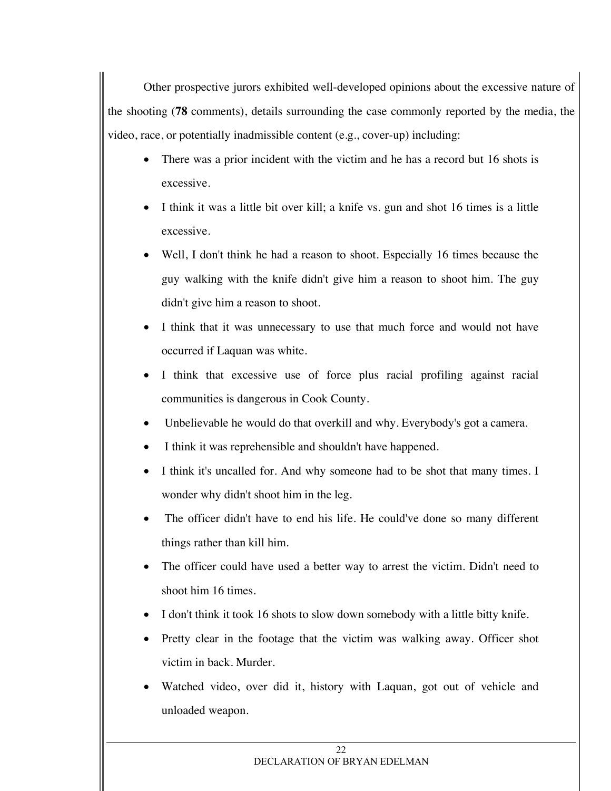Other prospective jurors exhibited well-developed opinions about the excessive nature of the shooting (**78** comments), details surrounding the case commonly reported by the media, the video, race, or potentially inadmissible content (e.g., cover-up) including:

- There was a prior incident with the victim and he has a record but 16 shots is excessive.
- I think it was a little bit over kill; a knife vs. gun and shot 16 times is a little excessive.
- Well, I don't think he had a reason to shoot. Especially 16 times because the guy walking with the knife didn't give him a reason to shoot him. The guy didn't give him a reason to shoot.
- I think that it was unnecessary to use that much force and would not have occurred if Laquan was white.
- I think that excessive use of force plus racial profiling against racial communities is dangerous in Cook County.
- Unbelievable he would do that overkill and why. Everybody's got a camera.
- I think it was reprehensible and shouldn't have happened.
- I think it's uncalled for. And why someone had to be shot that many times. I wonder why didn't shoot him in the leg.
- The officer didn't have to end his life. He could've done so many different things rather than kill him.
- The officer could have used a better way to arrest the victim. Didn't need to shoot him 16 times.
- I don't think it took 16 shots to slow down somebody with a little bitty knife.
- Pretty clear in the footage that the victim was walking away. Officer shot victim in back. Murder.
- Watched video, over did it, history with Laquan, got out of vehicle and unloaded weapon.

#### $22$ DECLARATION OF BRYAN EDELMAN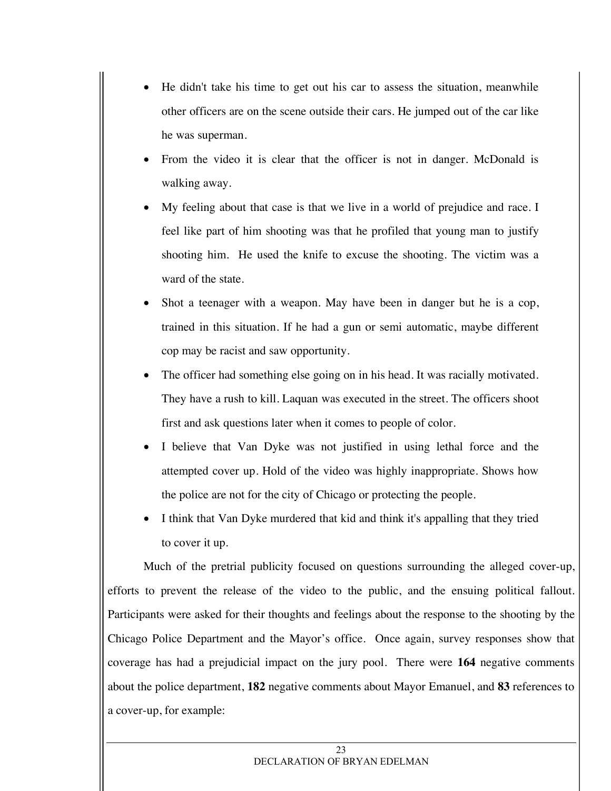- He didn't take his time to get out his car to assess the situation, meanwhile other officers are on the scene outside their cars. He jumped out of the car like he was superman.
- From the video it is clear that the officer is not in danger. McDonald is walking away.
- My feeling about that case is that we live in a world of prejudice and race. I feel like part of him shooting was that he profiled that young man to justify shooting him. He used the knife to excuse the shooting. The victim was a ward of the state.
- Shot a teenager with a weapon. May have been in danger but he is a cop, trained in this situation. If he had a gun or semi automatic, maybe different cop may be racist and saw opportunity.
- The officer had something else going on in his head. It was racially motivated. They have a rush to kill. Laquan was executed in the street. The officers shoot first and ask questions later when it comes to people of color.
- I believe that Van Dyke was not justified in using lethal force and the attempted cover up. Hold of the video was highly inappropriate. Shows how the police are not for the city of Chicago or protecting the people.
- I think that Van Dyke murdered that kid and think it's appalling that they tried to cover it up.

Much of the pretrial publicity focused on questions surrounding the alleged cover-up, efforts to prevent the release of the video to the public, and the ensuing political fallout. Participants were asked for their thoughts and feelings about the response to the shooting by the Chicago Police Department and the Mayor's office. Once again, survey responses show that coverage has had a prejudicial impact on the jury pool. There were **164** negative comments about the police department, **182** negative comments about Mayor Emanuel, and **83** references to a cover-up, for example: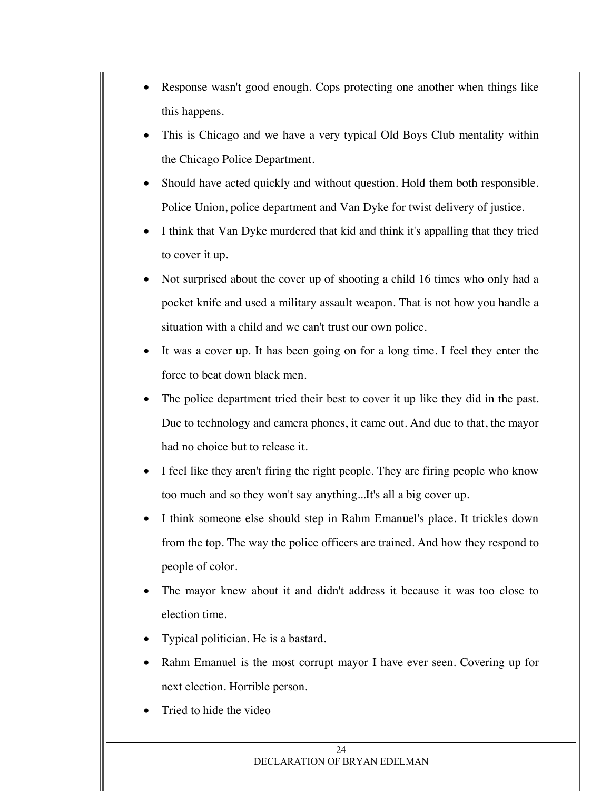- Response wasn't good enough. Cops protecting one another when things like this happens.
- This is Chicago and we have a very typical Old Boys Club mentality within the Chicago Police Department.
- Should have acted quickly and without question. Hold them both responsible. Police Union, police department and Van Dyke for twist delivery of justice.
- I think that Van Dyke murdered that kid and think it's appalling that they tried to cover it up.
- Not surprised about the cover up of shooting a child 16 times who only had a pocket knife and used a military assault weapon. That is not how you handle a situation with a child and we can't trust our own police.
- It was a cover up. It has been going on for a long time. I feel they enter the force to beat down black men.
- The police department tried their best to cover it up like they did in the past. Due to technology and camera phones, it came out. And due to that, the mayor had no choice but to release it.
- I feel like they aren't firing the right people. They are firing people who know too much and so they won't say anything...It's all a big cover up.
- I think someone else should step in Rahm Emanuel's place. It trickles down from the top. The way the police officers are trained. And how they respond to people of color.
- The mayor knew about it and didn't address it because it was too close to election time.
- Typical politician. He is a bastard.
- Rahm Emanuel is the most corrupt mayor I have ever seen. Covering up for next election. Horrible person.
- Tried to hide the video

#### $24$ DECLARATION OF BRYAN EDELMAN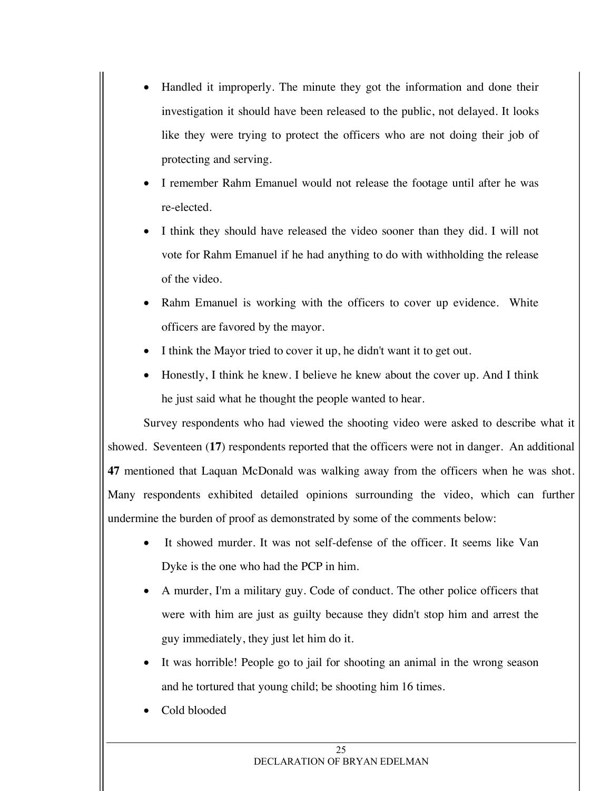- Handled it improperly. The minute they got the information and done their investigation it should have been released to the public, not delayed. It looks like they were trying to protect the officers who are not doing their job of protecting and serving.
- I remember Rahm Emanuel would not release the footage until after he was re-elected.
- I think they should have released the video sooner than they did. I will not vote for Rahm Emanuel if he had anything to do with withholding the release of the video.
- Rahm Emanuel is working with the officers to cover up evidence. White officers are favored by the mayor.
- I think the Mayor tried to cover it up, he didn't want it to get out.
- Honestly, I think he knew. I believe he knew about the cover up. And I think he just said what he thought the people wanted to hear.

Survey respondents who had viewed the shooting video were asked to describe what it showed. Seventeen (**17**) respondents reported that the officers were not in danger. An additional **47** mentioned that Laquan McDonald was walking away from the officers when he was shot. Many respondents exhibited detailed opinions surrounding the video, which can further undermine the burden of proof as demonstrated by some of the comments below:

- It showed murder. It was not self-defense of the officer. It seems like Van Dyke is the one who had the PCP in him.
- A murder, I'm a military guy. Code of conduct. The other police officers that were with him are just as guilty because they didn't stop him and arrest the guy immediately, they just let him do it.
- It was horrible! People go to jail for shooting an animal in the wrong season and he tortured that young child; be shooting him 16 times.
- Cold blooded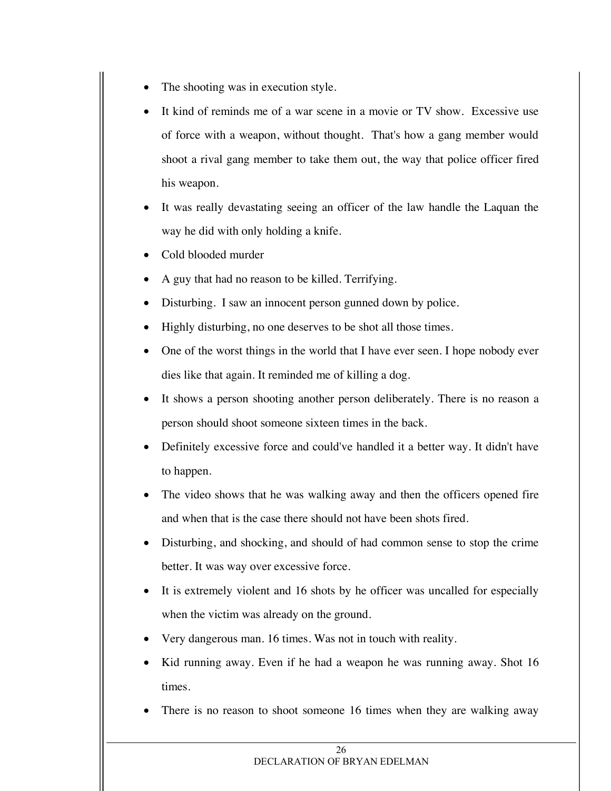- The shooting was in execution style.
- It kind of reminds me of a war scene in a movie or TV show. Excessive use of force with a weapon, without thought. That's how a gang member would shoot a rival gang member to take them out, the way that police officer fired his weapon.
- It was really devastating seeing an officer of the law handle the Laquan the way he did with only holding a knife.
- Cold blooded murder
- A guy that had no reason to be killed. Terrifying.
- Disturbing. I saw an innocent person gunned down by police.
- Highly disturbing, no one deserves to be shot all those times.
- One of the worst things in the world that I have ever seen. I hope nobody ever dies like that again. It reminded me of killing a dog.
- It shows a person shooting another person deliberately. There is no reason a person should shoot someone sixteen times in the back.
- Definitely excessive force and could've handled it a better way. It didn't have to happen.
- The video shows that he was walking away and then the officers opened fire and when that is the case there should not have been shots fired.
- Disturbing, and shocking, and should of had common sense to stop the crime better. It was way over excessive force.
- It is extremely violent and 16 shots by he officer was uncalled for especially when the victim was already on the ground.
- Very dangerous man. 16 times. Was not in touch with reality.
- Kid running away. Even if he had a weapon he was running away. Shot 16 times.
- There is no reason to shoot someone 16 times when they are walking away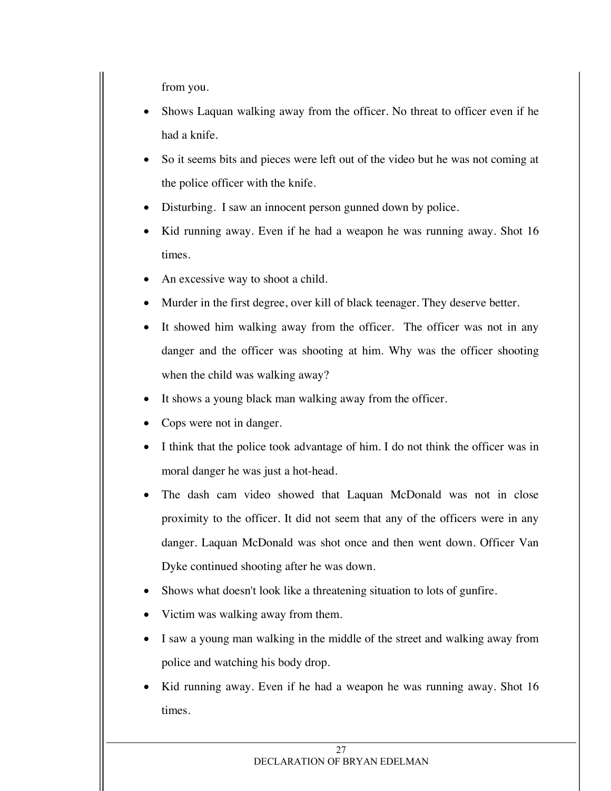from you.

- Shows Laquan walking away from the officer. No threat to officer even if he had a knife.
- So it seems bits and pieces were left out of the video but he was not coming at the police officer with the knife.
- Disturbing. I saw an innocent person gunned down by police.
- Kid running away. Even if he had a weapon he was running away. Shot 16 times.
- An excessive way to shoot a child.
- Murder in the first degree, over kill of black teenager. They deserve better.
- It showed him walking away from the officer. The officer was not in any danger and the officer was shooting at him. Why was the officer shooting when the child was walking away?
- It shows a young black man walking away from the officer.
- Cops were not in danger.
- I think that the police took advantage of him. I do not think the officer was in moral danger he was just a hot-head.
- The dash cam video showed that Laquan McDonald was not in close proximity to the officer. It did not seem that any of the officers were in any danger. Laquan McDonald was shot once and then went down. Officer Van Dyke continued shooting after he was down.
- Shows what doesn't look like a threatening situation to lots of gunfire.
- Victim was walking away from them.
- I saw a young man walking in the middle of the street and walking away from police and watching his body drop.
- Kid running away. Even if he had a weapon he was running away. Shot 16 times.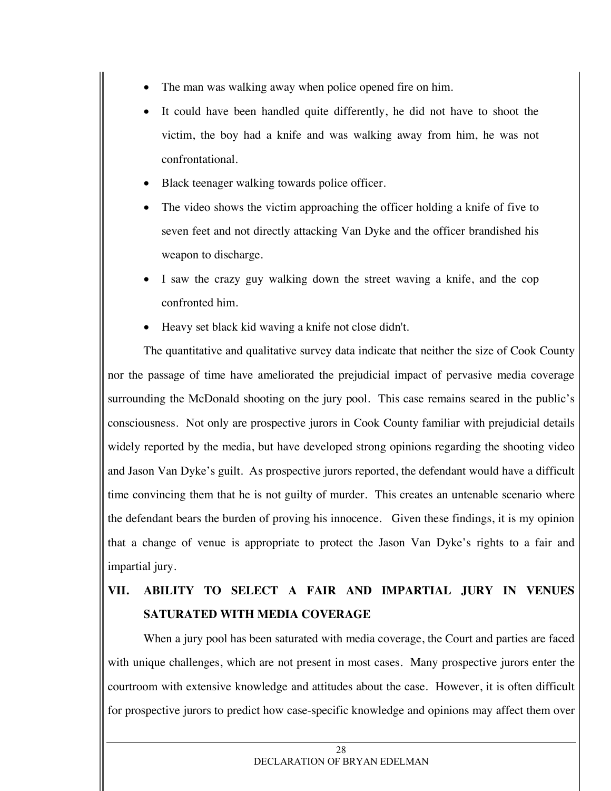- The man was walking away when police opened fire on him.
- It could have been handled quite differently, he did not have to shoot the victim, the boy had a knife and was walking away from him, he was not confrontational.
- Black teenager walking towards police officer.
- The video shows the victim approaching the officer holding a knife of five to seven feet and not directly attacking Van Dyke and the officer brandished his weapon to discharge.
- I saw the crazy guy walking down the street waving a knife, and the cop confronted him.
- Heavy set black kid waving a knife not close didn't.

The quantitative and qualitative survey data indicate that neither the size of Cook County nor the passage of time have ameliorated the prejudicial impact of pervasive media coverage surrounding the McDonald shooting on the jury pool. This case remains seared in the public's consciousness. Not only are prospective jurors in Cook County familiar with prejudicial details widely reported by the media, but have developed strong opinions regarding the shooting video and Jason Van Dyke's guilt. As prospective jurors reported, the defendant would have a difficult time convincing them that he is not guilty of murder. This creates an untenable scenario where the defendant bears the burden of proving his innocence. Given these findings, it is my opinion that a change of venue is appropriate to protect the Jason Van Dyke's rights to a fair and impartial jury.

# **VII. ABILITY TO SELECT A FAIR AND IMPARTIAL JURY IN VENUES SATURATED WITH MEDIA COVERAGE**

When a jury pool has been saturated with media coverage, the Court and parties are faced with unique challenges, which are not present in most cases. Many prospective jurors enter the courtroom with extensive knowledge and attitudes about the case. However, it is often difficult for prospective jurors to predict how case-specific knowledge and opinions may affect them over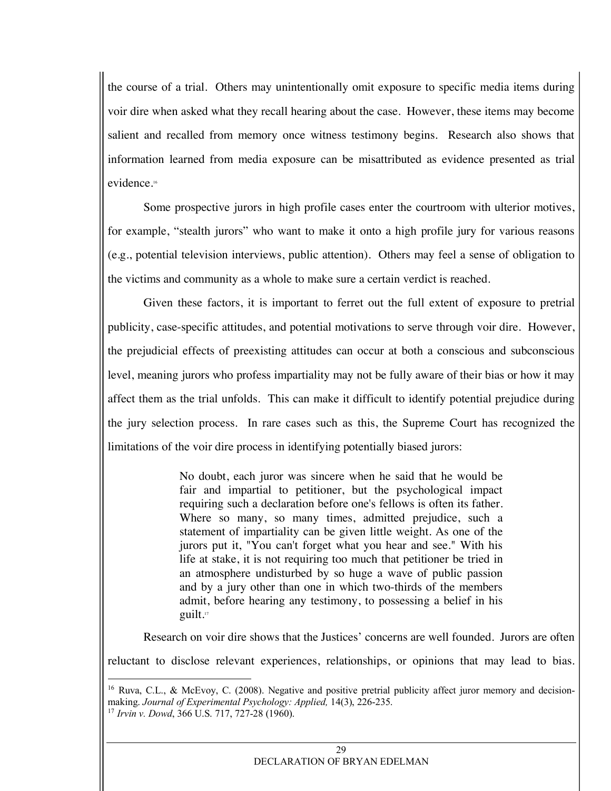the course of a trial. Others may unintentionally omit exposure to specific media items during voir dire when asked what they recall hearing about the case. However, these items may become salient and recalled from memory once witness testimony begins. Research also shows that information learned from media exposure can be misattributed as evidence presented as trial evidence.16

Some prospective jurors in high profile cases enter the courtroom with ulterior motives, for example, "stealth jurors" who want to make it onto a high profile jury for various reasons (e.g., potential television interviews, public attention). Others may feel a sense of obligation to the victims and community as a whole to make sure a certain verdict is reached.

Given these factors, it is important to ferret out the full extent of exposure to pretrial publicity, case-specific attitudes, and potential motivations to serve through voir dire. However, the prejudicial effects of preexisting attitudes can occur at both a conscious and subconscious level, meaning jurors who profess impartiality may not be fully aware of their bias or how it may affect them as the trial unfolds. This can make it difficult to identify potential prejudice during the jury selection process. In rare cases such as this, the Supreme Court has recognized the limitations of the voir dire process in identifying potentially biased jurors:

> No doubt, each juror was sincere when he said that he would be fair and impartial to petitioner, but the psychological impact requiring such a declaration before one's fellows is often its father. Where so many, so many times, admitted prejudice, such a statement of impartiality can be given little weight. As one of the jurors put it, "You can't forget what you hear and see." With his life at stake, it is not requiring too much that petitioner be tried in an atmosphere undisturbed by so huge a wave of public passion and by a jury other than one in which two-thirds of the members admit, before hearing any testimony, to possessing a belief in his guilt.17

Research on voir dire shows that the Justices' concerns are well founded. Jurors are often reluctant to disclose relevant experiences, relationships, or opinions that may lead to bias.

<sup>&</sup>lt;sup>16</sup> Ruva, C.L., & McEvoy, C. (2008). Negative and positive pretrial publicity affect juror memory and decisionmaking. *Journal of Experimental Psychology: Applied,* 14(3), 226-235. 17 *Irvin v. Dowd*, 366 U.S. 717, 727-28 (1960).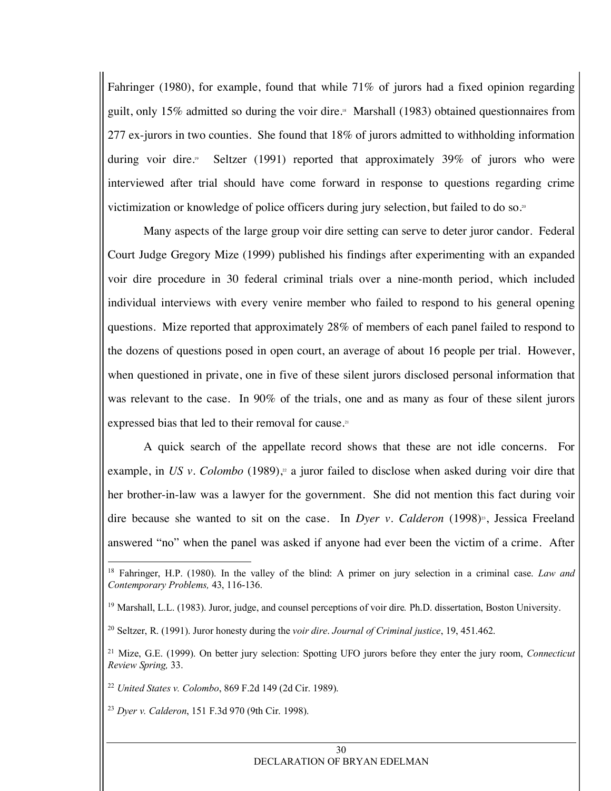Fahringer (1980), for example, found that while 71% of jurors had a fixed opinion regarding guilt, only 15% admitted so during the voir dire.18 Marshall (1983) obtained questionnaires from 277 ex-jurors in two counties. She found that 18% of jurors admitted to withholding information during voir dire.<sup>9</sup> Seltzer (1991) reported that approximately 39% of jurors who were interviewed after trial should have come forward in response to questions regarding crime victimization or knowledge of police officers during jury selection, but failed to do so.<sup>20</sup>

Many aspects of the large group voir dire setting can serve to deter juror candor. Federal Court Judge Gregory Mize (1999) published his findings after experimenting with an expanded voir dire procedure in 30 federal criminal trials over a nine-month period, which included individual interviews with every venire member who failed to respond to his general opening questions. Mize reported that approximately 28% of members of each panel failed to respond to the dozens of questions posed in open court, an average of about 16 people per trial. However, when questioned in private, one in five of these silent jurors disclosed personal information that was relevant to the case. In 90% of the trials, one and as many as four of these silent jurors expressed bias that led to their removal for cause.<sup>21</sup>

A quick search of the appellate record shows that these are not idle concerns. For example, in US v. Colombo (1989),<sup>2</sup> a juror failed to disclose when asked during voir dire that her brother-in-law was a lawyer for the government. She did not mention this fact during voir dire because she wanted to sit on the case. In *Dyer v. Calderon* (1998)<sup>2</sup>, Jessica Freeland answered "no" when the panel was asked if anyone had ever been the victim of a crime. After

 <sup>18</sup> Fahringer, H.P. (1980). In the valley of the blind: A primer on jury selection in a criminal case. *Law and Contemporary Problems,* 43, 116-136.

<sup>19</sup> Marshall, L.L. (1983). Juror, judge, and counsel perceptions of voir dire*.* Ph.D. dissertation, Boston University.

<sup>20</sup> Seltzer, R. (1991). Juror honesty during the *voir dire*. *Journal of Criminal justice*, 19, 451.462.

<sup>21</sup> Mize, G.E. (1999). On better jury selection: Spotting UFO jurors before they enter the jury room, *Connecticut Review Spring,* 33.

<sup>22</sup> *United States v. Colombo*, 869 F.2d 149 (2d Cir. 1989).

<sup>23</sup> *Dyer v. Calderon*, 151 F.3d 970 (9th Cir. 1998).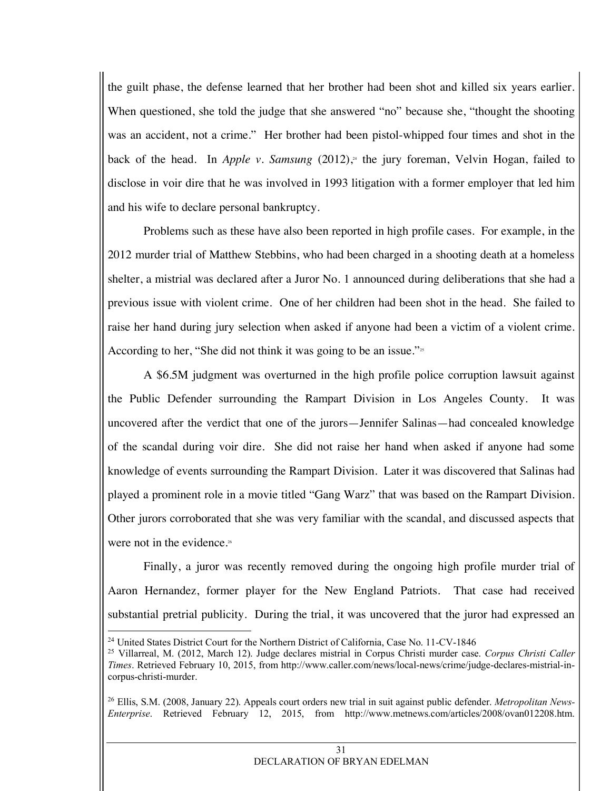the guilt phase, the defense learned that her brother had been shot and killed six years earlier. When questioned, she told the judge that she answered "no" because she, "thought the shooting was an accident, not a crime." Her brother had been pistol-whipped four times and shot in the back of the head. In *Apple v. Samsung* (2012), <sup>24</sup> the jury foreman, Velvin Hogan, failed to disclose in voir dire that he was involved in 1993 litigation with a former employer that led him and his wife to declare personal bankruptcy.

Problems such as these have also been reported in high profile cases. For example, in the 2012 murder trial of Matthew Stebbins, who had been charged in a shooting death at a homeless shelter, a mistrial was declared after a Juror No. 1 announced during deliberations that she had a previous issue with violent crime. One of her children had been shot in the head. She failed to raise her hand during jury selection when asked if anyone had been a victim of a violent crime. According to her, "She did not think it was going to be an issue." $\frac{3}{2}$ 

A \$6.5M judgment was overturned in the high profile police corruption lawsuit against the Public Defender surrounding the Rampart Division in Los Angeles County. It was uncovered after the verdict that one of the jurors—Jennifer Salinas—had concealed knowledge of the scandal during voir dire. She did not raise her hand when asked if anyone had some knowledge of events surrounding the Rampart Division. Later it was discovered that Salinas had played a prominent role in a movie titled "Gang Warz" that was based on the Rampart Division. Other jurors corroborated that she was very familiar with the scandal, and discussed aspects that were not in the evidence.<sup>26</sup>

Finally, a juror was recently removed during the ongoing high profile murder trial of Aaron Hernandez, former player for the New England Patriots. That case had received substantial pretrial publicity. During the trial, it was uncovered that the juror had expressed an

<sup>&</sup>lt;sup>24</sup> United States District Court for the Northern District of California, Case No. 11-CV-1846

<sup>25</sup> Villarreal, M. (2012, March 12). Judge declares mistrial in Corpus Christi murder case. *Corpus Christi Caller Times*. Retrieved February 10, 2015, from http://www.caller.com/news/local-news/crime/judge-declares-mistrial-incorpus-christi-murder.

<sup>26</sup> Ellis, S.M. (2008, January 22). Appeals court orders new trial in suit against public defender. *Metropolitan News-Enterprise*. Retrieved February 12, 2015, from http://www.metnews.com/articles/2008/ovan012208.htm.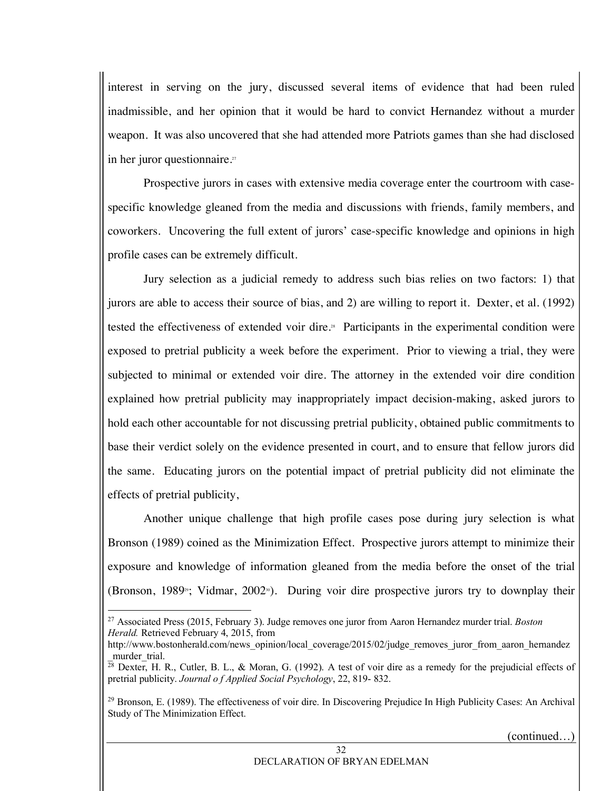interest in serving on the jury, discussed several items of evidence that had been ruled inadmissible, and her opinion that it would be hard to convict Hernandez without a murder weapon. It was also uncovered that she had attended more Patriots games than she had disclosed in her juror questionnaire.<sup>27</sup>

Prospective jurors in cases with extensive media coverage enter the courtroom with casespecific knowledge gleaned from the media and discussions with friends, family members, and coworkers. Uncovering the full extent of jurors' case-specific knowledge and opinions in high profile cases can be extremely difficult.

Jury selection as a judicial remedy to address such bias relies on two factors: 1) that jurors are able to access their source of bias, and 2) are willing to report it. Dexter, et al. (1992) tested the effectiveness of extended voir dire.<sup>28</sup> Participants in the experimental condition were exposed to pretrial publicity a week before the experiment. Prior to viewing a trial, they were subjected to minimal or extended voir dire. The attorney in the extended voir dire condition explained how pretrial publicity may inappropriately impact decision-making, asked jurors to hold each other accountable for not discussing pretrial publicity, obtained public commitments to base their verdict solely on the evidence presented in court, and to ensure that fellow jurors did the same. Educating jurors on the potential impact of pretrial publicity did not eliminate the effects of pretrial publicity,

Another unique challenge that high profile cases pose during jury selection is what Bronson (1989) coined as the Minimization Effect. Prospective jurors attempt to minimize their exposure and knowledge of information gleaned from the media before the onset of the trial (Bronson, 1989<sup> $\omega$ </sup>; Vidmar, 2002<sup> $\omega$ </sup>). During voir dire prospective jurors try to downplay their

(continued…)

 <sup>27</sup> Associated Press (2015, February 3). Judge removes one juror from Aaron Hernandez murder trial. *Boston Herald.* Retrieved February 4, 2015, from

http://www.bostonherald.com/news\_opinion/local\_coverage/2015/02/judge\_removes\_juror\_from\_aaron\_hernandez murder\_trial.

<sup>&</sup>lt;sup>28</sup> Dexter, H. R., Cutler, B. L., & Moran, G. (1992). A test of voir dire as a remedy for the prejudicial effects of pretrial publicity. *Journal o f Applied Social Psychology*, 22, 819- 832.

<sup>29</sup> Bronson, E. (1989). The effectiveness of voir dire. In Discovering Prejudice In High Publicity Cases: An Archival Study of The Minimization Effect.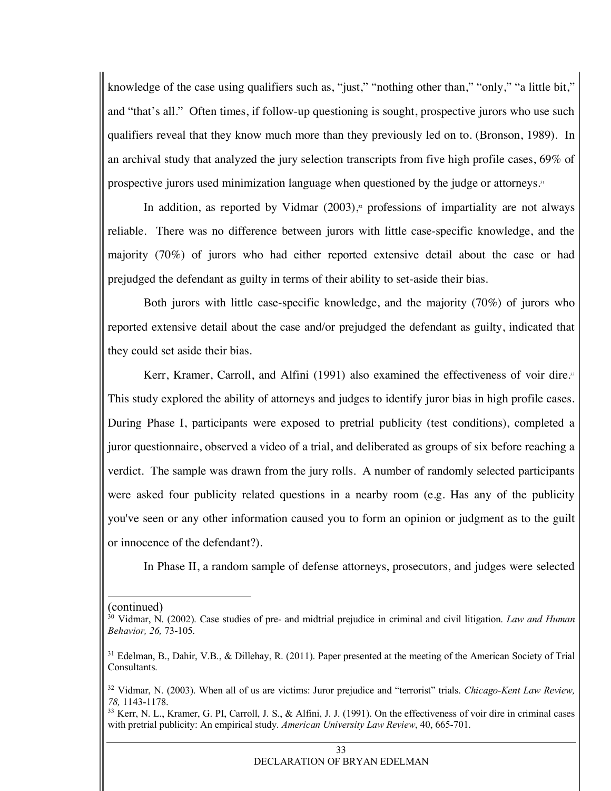knowledge of the case using qualifiers such as, "just," "nothing other than," "only," "a little bit," and "that's all." Often times, if follow-up questioning is sought, prospective jurors who use such qualifiers reveal that they know much more than they previously led on to. (Bronson, 1989). In an archival study that analyzed the jury selection transcripts from five high profile cases, 69% of prospective jurors used minimization language when questioned by the judge or attorneys.31

In addition, as reported by Vidmar  $(2003)$ ,<sup>32</sup> professions of impartiality are not always reliable. There was no difference between jurors with little case-specific knowledge, and the majority (70%) of jurors who had either reported extensive detail about the case or had prejudged the defendant as guilty in terms of their ability to set-aside their bias.

Both jurors with little case-specific knowledge, and the majority (70%) of jurors who reported extensive detail about the case and/or prejudged the defendant as guilty, indicated that they could set aside their bias.

Kerr, Kramer, Carroll, and Alfini (1991) also examined the effectiveness of voir dire.<sup>33</sup> This study explored the ability of attorneys and judges to identify juror bias in high profile cases. During Phase I, participants were exposed to pretrial publicity (test conditions), completed a juror questionnaire, observed a video of a trial, and deliberated as groups of six before reaching a verdict. The sample was drawn from the jury rolls. A number of randomly selected participants were asked four publicity related questions in a nearby room (e.g. Has any of the publicity you've seen or any other information caused you to form an opinion or judgment as to the guilt or innocence of the defendant?).

In Phase II, a random sample of defense attorneys, prosecutors, and judges were selected

 <sup>(</sup>continued)

<sup>30</sup> Vidmar, N. (2002). Case studies of pre- and midtrial prejudice in criminal and civil litigation. *Law and Human Behavior, 26,* 73-105.

<sup>&</sup>lt;sup>31</sup> Edelman, B., Dahir, V.B., & Dillehay, R. (2011). Paper presented at the meeting of the American Society of Trial Consultants.

<sup>32</sup> Vidmar, N. (2003). When all of us are victims: Juror prejudice and "terrorist" trials. *Chicago-Kent Law Review, 78,* 1143-1178.

<sup>&</sup>lt;sup>33</sup> Kerr, N. L., Kramer, G. PI, Carroll, J. S., & Alfini, J. J. (1991). On the effectiveness of voir dire in criminal cases with pretrial publicity: An empirical study. *American University Law Review*, 40, 665-701.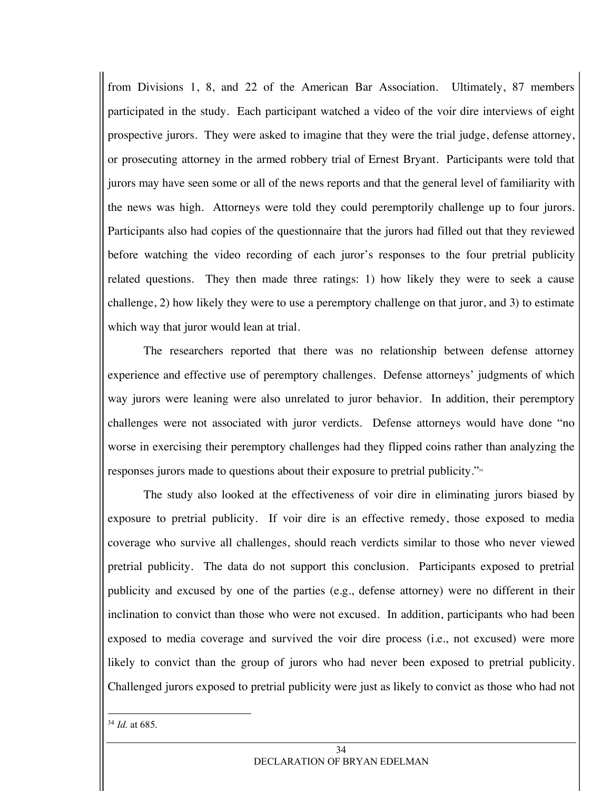from Divisions 1, 8, and 22 of the American Bar Association. Ultimately, 87 members participated in the study. Each participant watched a video of the voir dire interviews of eight prospective jurors. They were asked to imagine that they were the trial judge, defense attorney, or prosecuting attorney in the armed robbery trial of Ernest Bryant. Participants were told that jurors may have seen some or all of the news reports and that the general level of familiarity with the news was high. Attorneys were told they could peremptorily challenge up to four jurors. Participants also had copies of the questionnaire that the jurors had filled out that they reviewed before watching the video recording of each juror's responses to the four pretrial publicity related questions. They then made three ratings: 1) how likely they were to seek a cause challenge, 2) how likely they were to use a peremptory challenge on that juror, and 3) to estimate which way that juror would lean at trial.

The researchers reported that there was no relationship between defense attorney experience and effective use of peremptory challenges. Defense attorneys' judgments of which way jurors were leaning were also unrelated to juror behavior. In addition, their peremptory challenges were not associated with juror verdicts. Defense attorneys would have done "no worse in exercising their peremptory challenges had they flipped coins rather than analyzing the responses jurors made to questions about their exposure to pretrial publicity."34

The study also looked at the effectiveness of voir dire in eliminating jurors biased by exposure to pretrial publicity. If voir dire is an effective remedy, those exposed to media coverage who survive all challenges, should reach verdicts similar to those who never viewed pretrial publicity. The data do not support this conclusion. Participants exposed to pretrial publicity and excused by one of the parties (e.g., defense attorney) were no different in their inclination to convict than those who were not excused. In addition, participants who had been exposed to media coverage and survived the voir dire process (i.e., not excused) were more likely to convict than the group of jurors who had never been exposed to pretrial publicity. Challenged jurors exposed to pretrial publicity were just as likely to convict as those who had not

 <sup>34</sup> *Id.* at 685.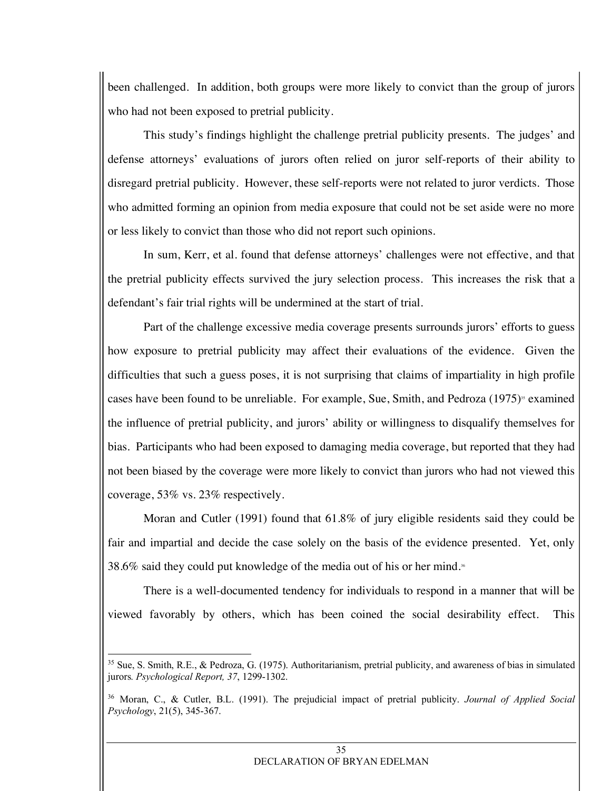been challenged. In addition, both groups were more likely to convict than the group of jurors who had not been exposed to pretrial publicity.

This study's findings highlight the challenge pretrial publicity presents. The judges' and defense attorneys' evaluations of jurors often relied on juror self-reports of their ability to disregard pretrial publicity. However, these self-reports were not related to juror verdicts. Those who admitted forming an opinion from media exposure that could not be set aside were no more or less likely to convict than those who did not report such opinions.

In sum, Kerr, et al. found that defense attorneys' challenges were not effective, and that the pretrial publicity effects survived the jury selection process. This increases the risk that a defendant's fair trial rights will be undermined at the start of trial.

Part of the challenge excessive media coverage presents surrounds jurors' efforts to guess how exposure to pretrial publicity may affect their evaluations of the evidence. Given the difficulties that such a guess poses, it is not surprising that claims of impartiality in high profile cases have been found to be unreliable. For example, Sue, Smith, and Pedroza  $(1975)$ <sup>55</sup> examined the influence of pretrial publicity, and jurors' ability or willingness to disqualify themselves for bias. Participants who had been exposed to damaging media coverage, but reported that they had not been biased by the coverage were more likely to convict than jurors who had not viewed this coverage, 53% vs. 23% respectively.

Moran and Cutler (1991) found that 61.8% of jury eligible residents said they could be fair and impartial and decide the case solely on the basis of the evidence presented. Yet, only 38.6% said they could put knowledge of the media out of his or her mind.<sup>36</sup>

There is a well-documented tendency for individuals to respond in a manner that will be viewed favorably by others, which has been coined the social desirability effect. This

<sup>&</sup>lt;sup>35</sup> Sue, S. Smith, R.E., & Pedroza, G. (1975). Authoritarianism, pretrial publicity, and awareness of bias in simulated jurors*. Psychological Report, 37*, 1299-1302.

<sup>36</sup> Moran, C., & Cutler, B.L. (1991). The prejudicial impact of pretrial publicity. *Journal of Applied Social Psychology*, 21(5), 345-367.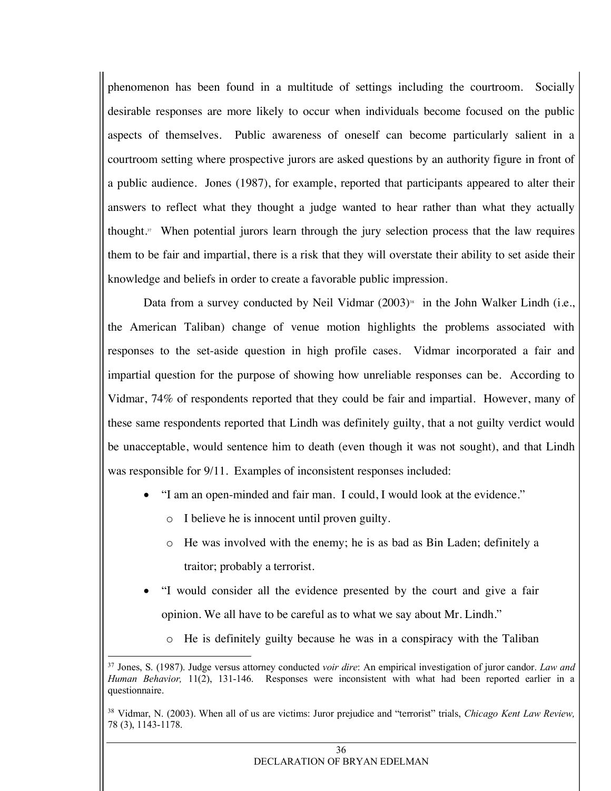phenomenon has been found in a multitude of settings including the courtroom. Socially desirable responses are more likely to occur when individuals become focused on the public aspects of themselves. Public awareness of oneself can become particularly salient in a courtroom setting where prospective jurors are asked questions by an authority figure in front of a public audience. Jones (1987), for example, reported that participants appeared to alter their answers to reflect what they thought a judge wanted to hear rather than what they actually thought. $37$  When potential jurors learn through the jury selection process that the law requires them to be fair and impartial, there is a risk that they will overstate their ability to set aside their knowledge and beliefs in order to create a favorable public impression.

Data from a survey conducted by Neil Vidmar  $(2003)$ <sup>38</sup> in the John Walker Lindh (i.e., the American Taliban) change of venue motion highlights the problems associated with responses to the set-aside question in high profile cases. Vidmar incorporated a fair and impartial question for the purpose of showing how unreliable responses can be. According to Vidmar, 74% of respondents reported that they could be fair and impartial. However, many of these same respondents reported that Lindh was definitely guilty, that a not guilty verdict would be unacceptable, would sentence him to death (even though it was not sought), and that Lindh was responsible for 9/11. Examples of inconsistent responses included:

- "I am an open-minded and fair man. I could, I would look at the evidence."
	- o I believe he is innocent until proven guilty.
	- o He was involved with the enemy; he is as bad as Bin Laden; definitely a traitor; probably a terrorist.
- "I would consider all the evidence presented by the court and give a fair opinion. We all have to be careful as to what we say about Mr. Lindh."
	- o He is definitely guilty because he was in a conspiracy with the Taliban

 <sup>37</sup> Jones, S. (1987). Judge versus attorney conducted *voir dire*: An empirical investigation of juror candor. *Law and Human Behavior,* 11(2), 131-146. Responses were inconsistent with what had been reported earlier in a questionnaire.

<sup>38</sup> Vidmar, N. (2003). When all of us are victims: Juror prejudice and "terrorist" trials, *Chicago Kent Law Review,*  78 (3), 1143-1178.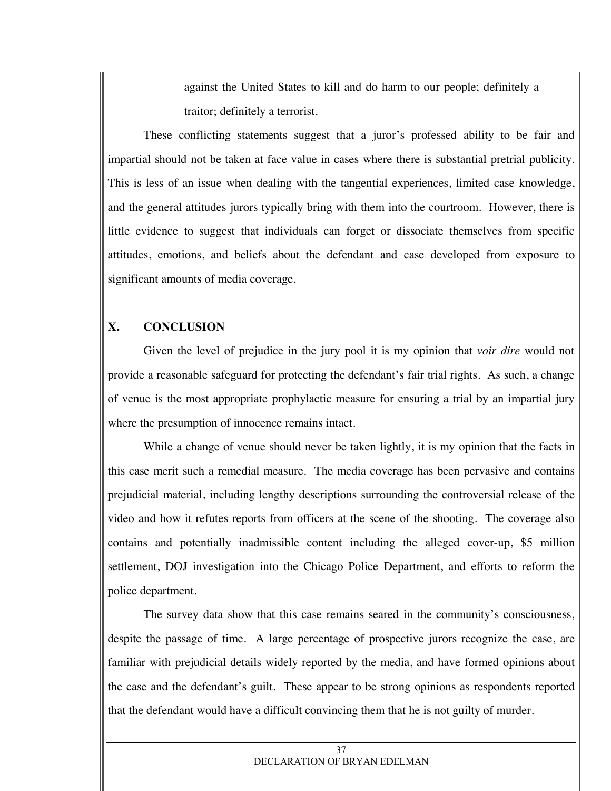against the United States to kill and do harm to our people; definitely a traitor; definitely a terrorist.

These conflicting statements suggest that a juror's professed ability to be fair and impartial should not be taken at face value in cases where there is substantial pretrial publicity. This is less of an issue when dealing with the tangential experiences, limited case knowledge, and the general attitudes jurors typically bring with them into the courtroom. However, there is little evidence to suggest that individuals can forget or dissociate themselves from specific attitudes, emotions, and beliefs about the defendant and case developed from exposure to significant amounts of media coverage.

# **X. CONCLUSION**

Given the level of prejudice in the jury pool it is my opinion that *voir dire* would not provide a reasonable safeguard for protecting the defendant's fair trial rights. As such, a change of venue is the most appropriate prophylactic measure for ensuring a trial by an impartial jury where the presumption of innocence remains intact.

While a change of venue should never be taken lightly, it is my opinion that the facts in this case merit such a remedial measure. The media coverage has been pervasive and contains prejudicial material, including lengthy descriptions surrounding the controversial release of the video and how it refutes reports from officers at the scene of the shooting. The coverage also contains and potentially inadmissible content including the alleged cover-up, \$5 million settlement, DOJ investigation into the Chicago Police Department, and efforts to reform the police department.

The survey data show that this case remains seared in the community's consciousness, despite the passage of time. A large percentage of prospective jurors recognize the case, are familiar with prejudicial details widely reported by the media, and have formed opinions about the case and the defendant's guilt. These appear to be strong opinions as respondents reported that the defendant would have a difficult convincing them that he is not guilty of murder.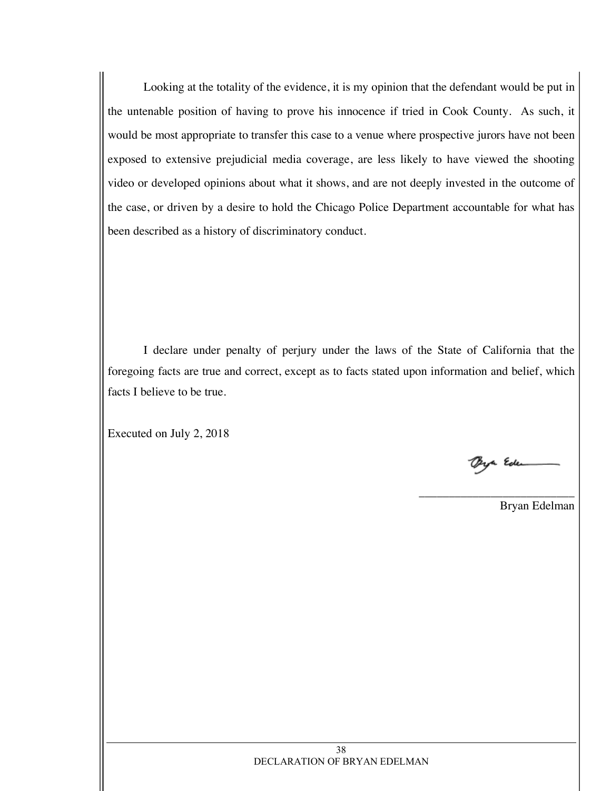Looking at the totality of the evidence, it is my opinion that the defendant would be put in the untenable position of having to prove his innocence if tried in Cook County. As such, it would be most appropriate to transfer this case to a venue where prospective jurors have not been exposed to extensive prejudicial media coverage, are less likely to have viewed the shooting video or developed opinions about what it shows, and are not deeply invested in the outcome of the case, or driven by a desire to hold the Chicago Police Department accountable for what has been described as a history of discriminatory conduct.

I declare under penalty of perjury under the laws of the State of California that the foregoing facts are true and correct, except as to facts stated upon information and belief, which facts I believe to be true.

Executed on July 2, 2018

ya Ede

\_\_\_\_\_\_\_\_\_\_\_\_\_\_\_\_\_\_\_\_\_\_\_\_\_\_

Bryan Edelman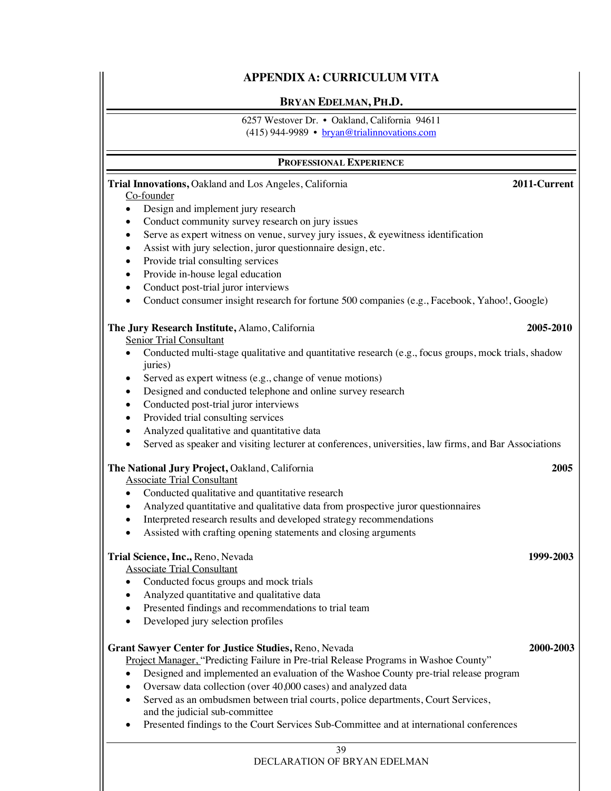#### **APPENDIX A: CURRICULUM VITA**

#### **BRYAN EDELMAN, PH.D.**

6257 Westover Dr. • Oakland, California 94611

(415) 944-9989 • bryan@trialinnovations.com

#### **PROFESSIONAL EXPERIENCE**

| Trial Innovations, Oakland and Los Angeles, California                                                                       | 2011-Current |  |
|------------------------------------------------------------------------------------------------------------------------------|--------------|--|
| Co-founder                                                                                                                   |              |  |
| Design and implement jury research<br>$\bullet$                                                                              |              |  |
| Conduct community survey research on jury issues<br>$\bullet$                                                                |              |  |
| Serve as expert witness on venue, survey jury issues, & eyewitness identification<br>$\bullet$                               |              |  |
| Assist with jury selection, juror questionnaire design, etc.<br>$\bullet$                                                    |              |  |
| Provide trial consulting services<br>$\bullet$                                                                               |              |  |
| Provide in-house legal education<br>$\bullet$                                                                                |              |  |
| Conduct post-trial juror interviews<br>$\bullet$                                                                             |              |  |
| Conduct consumer insight research for fortune 500 companies (e.g., Facebook, Yahoo!, Google)<br>$\bullet$                    |              |  |
| The Jury Research Institute, Alamo, California                                                                               | 2005-2010    |  |
| <b>Senior Trial Consultant</b>                                                                                               |              |  |
| Conducted multi-stage qualitative and quantitative research (e.g., focus groups, mock trials, shadow<br>$\bullet$<br>juries) |              |  |
| Served as expert witness (e.g., change of venue motions)<br>٠                                                                |              |  |
| Designed and conducted telephone and online survey research<br>$\bullet$                                                     |              |  |
| Conducted post-trial juror interviews<br>$\bullet$                                                                           |              |  |
| Provided trial consulting services<br>$\bullet$                                                                              |              |  |
| Analyzed qualitative and quantitative data<br>$\bullet$                                                                      |              |  |
| Served as speaker and visiting lecturer at conferences, universities, law firms, and Bar Associations<br>$\bullet$           |              |  |
| 2005<br>The National Jury Project, Oakland, California                                                                       |              |  |
| <b>Associate Trial Consultant</b>                                                                                            |              |  |
| Conducted qualitative and quantitative research<br>$\bullet$                                                                 |              |  |
| Analyzed quantitative and qualitative data from prospective juror questionnaires<br>٠                                        |              |  |
| Interpreted research results and developed strategy recommendations                                                          |              |  |
| Assisted with crafting opening statements and closing arguments<br>$\bullet$                                                 |              |  |
| Trial Science, Inc., Reno, Nevada                                                                                            | 1999-2003    |  |
| <b>Associate Trial Consultant</b>                                                                                            |              |  |
| Conducted focus groups and mock trials<br>$\bullet$                                                                          |              |  |
| Analyzed quantitative and qualitative data<br>$\bullet$                                                                      |              |  |
| Presented findings and recommendations to trial team<br>٠                                                                    |              |  |
| Developed jury selection profiles                                                                                            |              |  |
| Grant Sawyer Center for Justice Studies, Reno, Nevada                                                                        | 2000-2003    |  |
| Project Manager, "Predicting Failure in Pre-trial Release Programs in Washoe County"                                         |              |  |
| Designed and implemented an evaluation of the Washoe County pre-trial release program                                        |              |  |
| Oversaw data collection (over 40,000 cases) and analyzed data                                                                |              |  |
| Served as an ombudsmen between trial courts, police departments, Court Services,<br>and the judicial sub-committee           |              |  |
| Presented findings to the Court Services Sub-Committee and at international conferences                                      |              |  |
| 39                                                                                                                           |              |  |
| DECLARATION OF BRYAN EDELMAN                                                                                                 |              |  |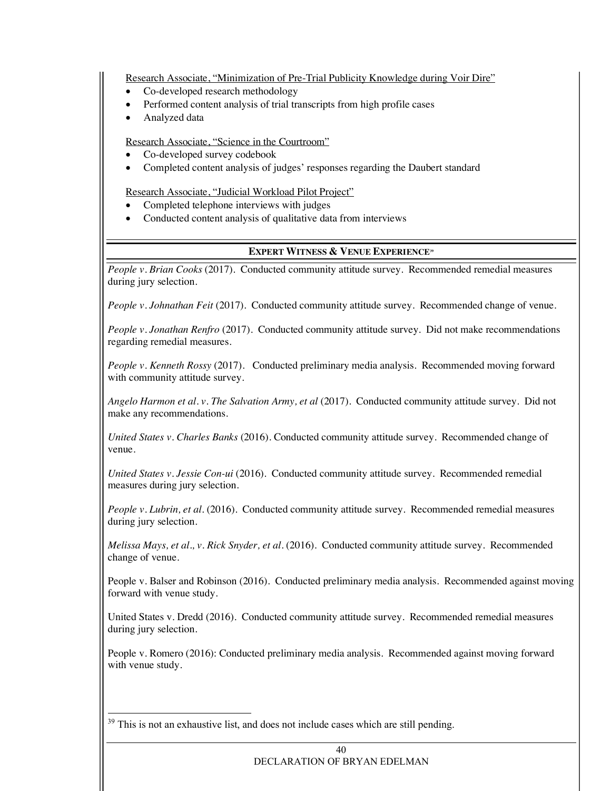Research Associate, "Minimization of Pre-Trial Publicity Knowledge during Voir Dire"

- Co-developed research methodology
- Performed content analysis of trial transcripts from high profile cases
- Analyzed data

Research Associate, "Science in the Courtroom"

- Co-developed survey codebook
- Completed content analysis of judges' responses regarding the Daubert standard

Research Associate, "Judicial Workload Pilot Project"

- Completed telephone interviews with judges
- Conducted content analysis of qualitative data from interviews

#### **EXPERT WITNESS & VENUE EXPERIENCE39**

*People v. Brian Cooks* (2017). Conducted community attitude survey. Recommended remedial measures during jury selection.

*People v. Johnathan Feit* (2017). Conducted community attitude survey. Recommended change of venue.

*People v. Jonathan Renfro* (2017). Conducted community attitude survey. Did not make recommendations regarding remedial measures.

*People v. Kenneth Rossy* (2017). Conducted preliminary media analysis. Recommended moving forward with community attitude survey.

*Angelo Harmon et al. v. The Salvation Army, et al* (2017). Conducted community attitude survey. Did not make any recommendations.

*United States v. Charles Banks* (2016). Conducted community attitude survey. Recommended change of venue.

*United States v. Jessie Con-ui* (2016). Conducted community attitude survey. Recommended remedial measures during jury selection.

*People v. Lubrin, et al.* (2016). Conducted community attitude survey. Recommended remedial measures during jury selection.

*Melissa Mays, et al., v. Rick Snyder, et al.* (2016). Conducted community attitude survey. Recommended change of venue.

People v. Balser and Robinson (2016). Conducted preliminary media analysis. Recommended against moving forward with venue study.

United States v. Dredd (2016). Conducted community attitude survey. Recommended remedial measures during jury selection.

People v. Romero (2016): Conducted preliminary media analysis. Recommended against moving forward with venue study.

<sup>39</sup> This is not an exhaustive list, and does not include cases which are still pending.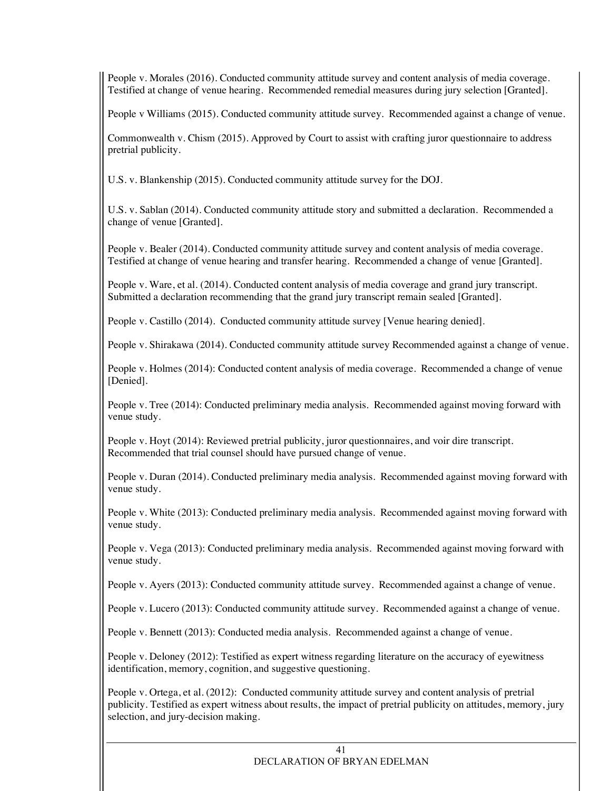People v. Morales (2016). Conducted community attitude survey and content analysis of media coverage. Testified at change of venue hearing. Recommended remedial measures during jury selection [Granted].

People v Williams (2015). Conducted community attitude survey. Recommended against a change of venue.

Commonwealth v. Chism (2015). Approved by Court to assist with crafting juror questionnaire to address pretrial publicity.

U.S. v. Blankenship (2015). Conducted community attitude survey for the DOJ.

U.S. v. Sablan (2014). Conducted community attitude story and submitted a declaration. Recommended a change of venue [Granted].

People v. Bealer (2014). Conducted community attitude survey and content analysis of media coverage. Testified at change of venue hearing and transfer hearing. Recommended a change of venue [Granted].

People v. Ware, et al. (2014). Conducted content analysis of media coverage and grand jury transcript. Submitted a declaration recommending that the grand jury transcript remain sealed [Granted].

People v. Castillo (2014). Conducted community attitude survey [Venue hearing denied].

People v. Shirakawa (2014). Conducted community attitude survey Recommended against a change of venue.

People v. Holmes (2014): Conducted content analysis of media coverage. Recommended a change of venue [Denied].

People v. Tree (2014): Conducted preliminary media analysis. Recommended against moving forward with venue study.

People v. Hoyt (2014): Reviewed pretrial publicity, juror questionnaires, and voir dire transcript. Recommended that trial counsel should have pursued change of venue.

People v. Duran (2014). Conducted preliminary media analysis. Recommended against moving forward with venue study.

People v. White (2013): Conducted preliminary media analysis. Recommended against moving forward with venue study.

People v. Vega (2013): Conducted preliminary media analysis. Recommended against moving forward with venue study.

People v. Ayers (2013): Conducted community attitude survey. Recommended against a change of venue.

People v. Lucero (2013): Conducted community attitude survey. Recommended against a change of venue.

People v. Bennett (2013): Conducted media analysis. Recommended against a change of venue.

People v. Deloney (2012): Testified as expert witness regarding literature on the accuracy of eyewitness identification, memory, cognition, and suggestive questioning.

People v. Ortega, et al. (2012): Conducted community attitude survey and content analysis of pretrial publicity. Testified as expert witness about results, the impact of pretrial publicity on attitudes, memory, jury selection, and jury-decision making.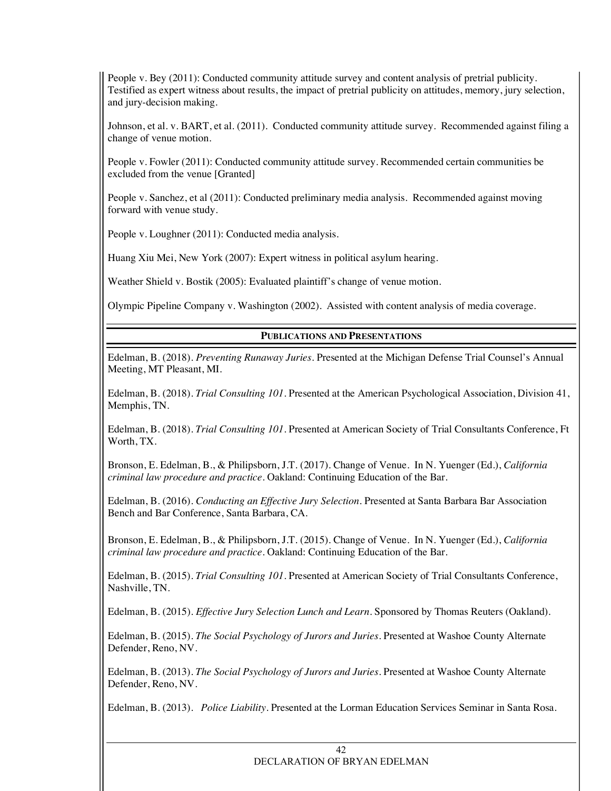People v. Bey (2011): Conducted community attitude survey and content analysis of pretrial publicity. Testified as expert witness about results, the impact of pretrial publicity on attitudes, memory, jury selection, and jury-decision making.

Johnson, et al. v. BART, et al. (2011). Conducted community attitude survey. Recommended against filing a change of venue motion.

People v. Fowler (2011): Conducted community attitude survey. Recommended certain communities be excluded from the venue [Granted]

People v. Sanchez, et al (2011): Conducted preliminary media analysis. Recommended against moving forward with venue study.

People v. Loughner (2011): Conducted media analysis.

Huang Xiu Mei, New York (2007): Expert witness in political asylum hearing.

Weather Shield v. Bostik (2005): Evaluated plaintiff's change of venue motion.

Olympic Pipeline Company v. Washington (2002). Assisted with content analysis of media coverage.

#### **PUBLICATIONS AND PRESENTATIONS**

Edelman, B. (2018). *Preventing Runaway Juries*. Presented at the Michigan Defense Trial Counsel's Annual Meeting, MT Pleasant, MI.

Edelman, B. (2018). *Trial Consulting 101*. Presented at the American Psychological Association, Division 41, Memphis, TN.

Edelman, B. (2018). *Trial Consulting 101*. Presented at American Society of Trial Consultants Conference, Ft Worth, TX.

Bronson, E. Edelman, B., & Philipsborn, J.T. (2017). Change of Venue. In N. Yuenger (Ed.), *California criminal law procedure and practice*. Oakland: Continuing Education of the Bar.

Edelman, B. (2016). *Conducting an Effective Jury Selection*. Presented at Santa Barbara Bar Association Bench and Bar Conference, Santa Barbara, CA.

Bronson, E. Edelman, B., & Philipsborn, J.T. (2015). Change of Venue. In N. Yuenger (Ed.), *California criminal law procedure and practice*. Oakland: Continuing Education of the Bar.

Edelman, B. (2015). *Trial Consulting 101*. Presented at American Society of Trial Consultants Conference, Nashville, TN.

Edelman, B. (2015). *Effective Jury Selection Lunch and Learn*. Sponsored by Thomas Reuters (Oakland).

Edelman, B. (2015). *The Social Psychology of Jurors and Juries*. Presented at Washoe County Alternate Defender, Reno, NV.

Edelman, B. (2013). *The Social Psychology of Jurors and Juries*. Presented at Washoe County Alternate Defender, Reno, NV.

Edelman, B. (2013). *Police Liability.* Presented at the Lorman Education Services Seminar in Santa Rosa.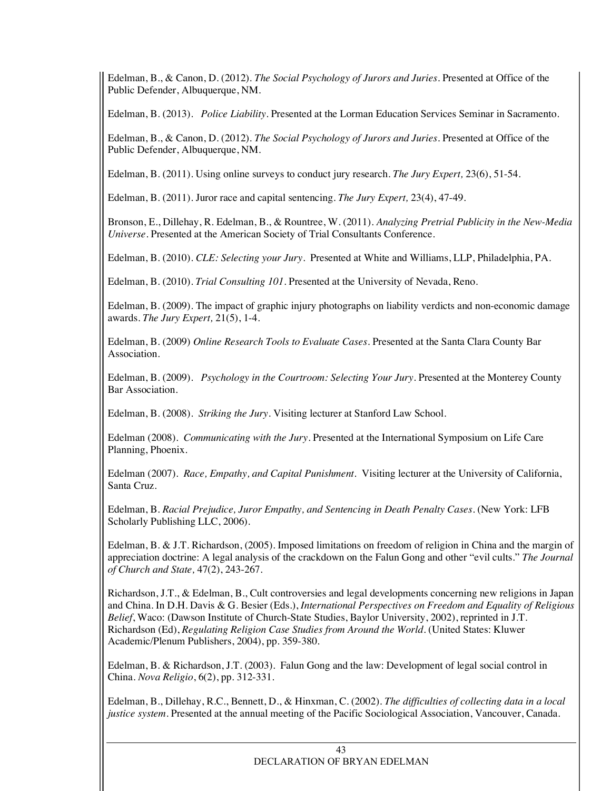Edelman, B., & Canon, D. (2012). *The Social Psychology of Jurors and Juries*. Presented at Office of the Public Defender, Albuquerque, NM.

Edelman, B. (2013). *Police Liability.* Presented at the Lorman Education Services Seminar in Sacramento.

Edelman, B., & Canon, D. (2012). *The Social Psychology of Jurors and Juries*. Presented at Office of the Public Defender, Albuquerque, NM.

Edelman, B. (2011). Using online surveys to conduct jury research. *The Jury Expert,* 23(6), 51-54*.* 

Edelman, B. (2011). Juror race and capital sentencing. *The Jury Expert,* 23(4), 47-49*.* 

Bronson, E., Dillehay, R. Edelman, B., & Rountree, W. (2011). *Analyzing Pretrial Publicity in the New-Media Universe.* Presented at the American Society of Trial Consultants Conference.

Edelman, B. (2010). *CLE: Selecting your Jury*. Presented at White and Williams, LLP, Philadelphia, PA.

Edelman, B. (2010). *Trial Consulting 101*. Presented at the University of Nevada, Reno.

Edelman, B. (2009). The impact of graphic injury photographs on liability verdicts and non-economic damage awards. *The Jury Expert,* 21(5), 1-4*.* 

Edelman, B. (2009) *Online Research Tools to Evaluate Cases.* Presented at the Santa Clara County Bar Association.

Edelman, B. (2009). *Psychology in the Courtroom: Selecting Your Jury.* Presented at the Monterey County Bar Association.

Edelman, B. (2008). *Striking the Jury.* Visiting lecturer at Stanford Law School.

Edelman (2008). *Communicating with the Jury.* Presented at the International Symposium on Life Care Planning, Phoenix.

Edelman (2007). *Race, Empathy, and Capital Punishment.* Visiting lecturer at the University of California, Santa Cruz.

Edelman, B. *Racial Prejudice, Juror Empathy, and Sentencing in Death Penalty Cases.* (New York: LFB Scholarly Publishing LLC, 2006)*.*

Edelman, B. & J.T. Richardson, (2005). Imposed limitations on freedom of religion in China and the margin of appreciation doctrine: A legal analysis of the crackdown on the Falun Gong and other "evil cults." *The Journal of Church and State,* 47(2), 243-267.

Richardson, J.T., & Edelman, B., Cult controversies and legal developments concerning new religions in Japan and China. In D.H. Davis & G. Besier (Eds.), *International Perspectives on Freedom and Equality of Religious Belief*, Waco: (Dawson Institute of Church-State Studies, Baylor University, 2002), reprinted in J.T. Richardson (Ed), *Regulating Religion Case Studies from Around the World*. (United States: Kluwer Academic/Plenum Publishers, 2004), pp. 359-380.

Edelman, B. & Richardson, J.T*.* (2003).Falun Gong and the law: Development of legal social control in China. *Nova Religio*, 6(2), pp. 312-331.

Edelman, B., Dillehay, R.C., Bennett, D., & Hinxman, C. (2002). *The difficulties of collecting data in a local justice system*. Presented at the annual meeting of the Pacific Sociological Association, Vancouver, Canada.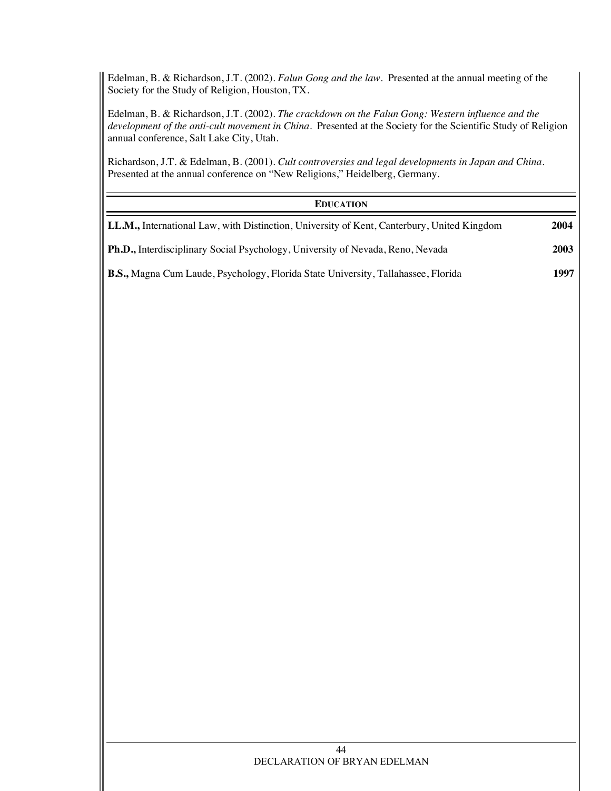Edelman, B. & Richardson, J.T. (2002). *Falun Gong and the law*. Presented at the annual meeting of the Society for the Study of Religion, Houston, TX.

Edelman, B. & Richardson, J.T. (2002). *The crackdown on the Falun Gong: Western influence and the development of the anti-cult movement in China*. Presented at the Society for the Scientific Study of Religion annual conference, Salt Lake City, Utah.

Richardson, J.T. & Edelman, B. (2001). *Cult controversies and legal developments in Japan and China*. Presented at the annual conference on "New Religions," Heidelberg, Germany.

#### **EDUCATION**

| <b>LL.M., International Law, with Distinction, University of Kent, Canterbury, United Kingdom</b> | 2004 |
|---------------------------------------------------------------------------------------------------|------|
| <b>Ph.D.,</b> Interdisciplinary Social Psychology, University of Nevada, Reno, Nevada             | 2003 |
| <b>B.S., Magna Cum Laude, Psychology, Florida State University, Tallahassee, Florida</b>          | 1997 |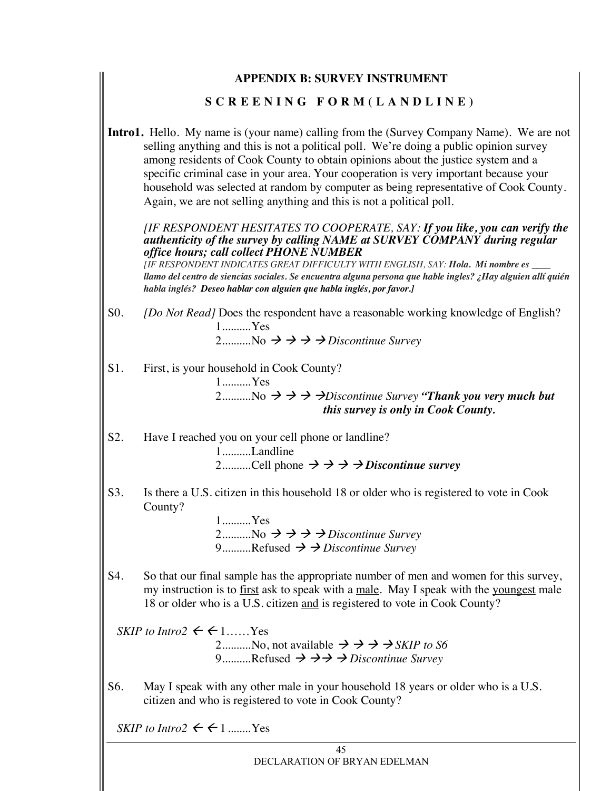|        | <b>APPENDIX B: SURVEY INSTRUMENT</b>                                                                                                                                                                                                                                                                                                                                                                                                                                                                                                  |
|--------|---------------------------------------------------------------------------------------------------------------------------------------------------------------------------------------------------------------------------------------------------------------------------------------------------------------------------------------------------------------------------------------------------------------------------------------------------------------------------------------------------------------------------------------|
|        | SCREENING FORM (LANDLINE)                                                                                                                                                                                                                                                                                                                                                                                                                                                                                                             |
|        | <b>Intro1.</b> Hello. My name is (your name) calling from the (Survey Company Name). We are not<br>selling anything and this is not a political poll. We're doing a public opinion survey<br>among residents of Cook County to obtain opinions about the justice system and a<br>specific criminal case in your area. Your cooperation is very important because your<br>household was selected at random by computer as being representative of Cook County.<br>Again, we are not selling anything and this is not a political poll. |
|        | [IF RESPONDENT HESITATES TO COOPERATE, SAY: If you like, you can verify the<br>authenticity of the survey by calling NAME at SURVEY COMPANY during regular<br>office hours; call collect PHONE NUMBER<br>[IF RESPONDENT INDICATES GREAT DIFFICULTY WITH ENGLISH, SAY: Hola. Mi nombre es ___<br>llamo del centro de siencias sociales. Se encuentra alguna persona que hable ingles? ¿Hay alguien allí quién<br>habla inglés? Deseo hablar con alguien que habla inglés, por favor.]                                                  |
| $S0$ . | [Do Not Read] Does the respondent have a reasonable working knowledge of English?<br>1Yes<br>2No $\rightarrow \rightarrow \rightarrow$ Discontinue Survey                                                                                                                                                                                                                                                                                                                                                                             |
| S1.    | First, is your household in Cook County?<br>1Yes<br>2No $\rightarrow \rightarrow \rightarrow$ Discontinue Survey "Thank you very much but<br>this survey is only in Cook County.                                                                                                                                                                                                                                                                                                                                                      |
| S2.    | Have I reached you on your cell phone or landline?<br>1Landline<br>2Cell phone $\rightarrow \rightarrow \rightarrow D$ <i>iscontinue survey</i>                                                                                                                                                                                                                                                                                                                                                                                       |
| S3.    | Is there a U.S. citizen in this household 18 or older who is registered to vote in Cook<br>County?<br>$1$ Yes<br>2No $\rightarrow \rightarrow \rightarrow$ Discontinue Survey<br>9Refused $\rightarrow$ $\rightarrow$ Discontinue Survey                                                                                                                                                                                                                                                                                              |
| S4.    | So that our final sample has the appropriate number of men and women for this survey,<br>my instruction is to first ask to speak with a male. May I speak with the youngest male<br>18 or older who is a U.S. citizen and is registered to vote in Cook County?                                                                                                                                                                                                                                                                       |
|        | SKIP to Intro2 $\leftarrow$ $\leftarrow$ 1 Yes<br>2No, not available $\Rightarrow \Rightarrow \Rightarrow$ SKIP to S6<br>9Refused $\rightarrow \rightarrow \rightarrow$ Discontinue Survey                                                                                                                                                                                                                                                                                                                                            |
| S6.    | May I speak with any other male in your household 18 years or older who is a U.S.<br>citizen and who is registered to vote in Cook County?                                                                                                                                                                                                                                                                                                                                                                                            |

*SKIP to Intro2*  $\leftarrow$   $\leftarrow$  1........Yes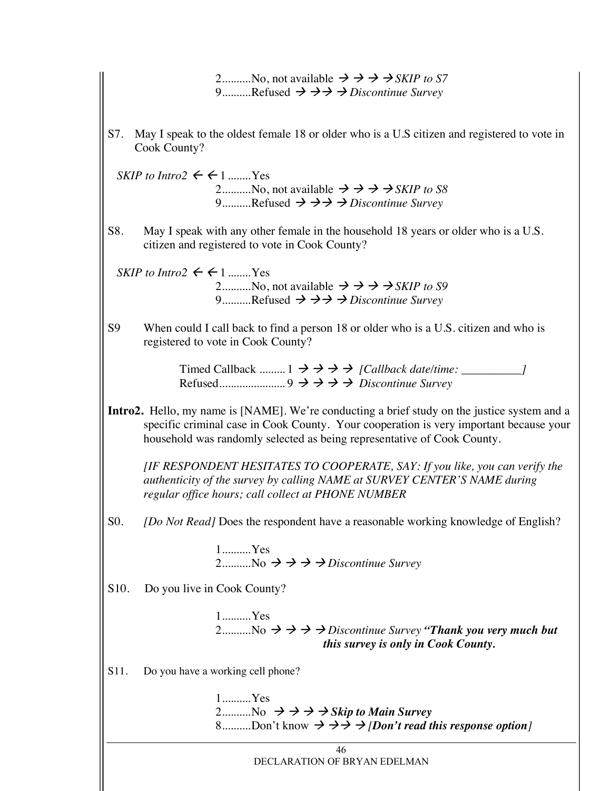|      | 2No, not available $\rightarrow \rightarrow \rightarrow$ SKIP to S7<br>9Refused $\rightarrow \rightarrow \rightarrow$ Discontinue Survey                                                                                                                                 |
|------|--------------------------------------------------------------------------------------------------------------------------------------------------------------------------------------------------------------------------------------------------------------------------|
| S7.  | May I speak to the oldest female 18 or older who is a U.S citizen and registered to vote in<br>Cook County?                                                                                                                                                              |
|      | SKIP to Intro2 $\leftarrow$ $\leftarrow$ 1  Yes<br>2No, not available $\rightarrow \rightarrow \rightarrow$ SKIP to S8<br>9Refused $\rightarrow \rightarrow \rightarrow$ Discontinue Survey                                                                              |
| S8.  | May I speak with any other female in the household 18 years or older who is a U.S.<br>citizen and registered to vote in Cook County?                                                                                                                                     |
|      | SKIP to Intro2 $\leftarrow$ $\leftarrow$ 1  Yes<br>2No, not available $\rightarrow \rightarrow \rightarrow$ SKIP to S9<br>9Refused $\rightarrow \rightarrow \rightarrow$ Discontinue Survey                                                                              |
| S9   | When could I call back to find a person 18 or older who is a U.S. citizen and who is<br>registered to vote in Cook County?                                                                                                                                               |
|      | Timed Callback $1 \rightarrow \rightarrow \rightarrow$ / Callback date/time: _________                                                                                                                                                                                   |
|      | <b>Intro2.</b> Hello, my name is [NAME]. We're conducting a brief study on the justice system and a<br>specific criminal case in Cook County. Your cooperation is very important because your<br>household was randomly selected as being representative of Cook County. |
|      | [IF RESPONDENT HESITATES TO COOPERATE, SAY: If you like, you can verify the<br>authenticity of the survey by calling NAME at SURVEY CENTER'S NAME during<br>regular office hours; call collect at PHONE NUMBER                                                           |
| S0.  | [Do Not Read] Does the respondent have a reasonable working knowledge of English?                                                                                                                                                                                        |
|      | $1$ Yes<br>2No $\rightarrow \rightarrow \rightarrow$ Discontinue Survey                                                                                                                                                                                                  |
| S10. | Do you live in Cook County?                                                                                                                                                                                                                                              |
|      | 1Yes<br>2No $\rightarrow \rightarrow \rightarrow D$ is continue Survey "Thank you very much but<br>this survey is only in Cook County.                                                                                                                                   |
| S11. | Do you have a working cell phone?                                                                                                                                                                                                                                        |
|      | $1$ Yes<br>2 No $\rightarrow \rightarrow \rightarrow$ Skip to Main Survey<br>8Don't know $\rightarrow \rightarrow \rightarrow$ /Don't read this response option]                                                                                                         |
|      | 46<br>DECLARATION OF BRYAN EDELMAN                                                                                                                                                                                                                                       |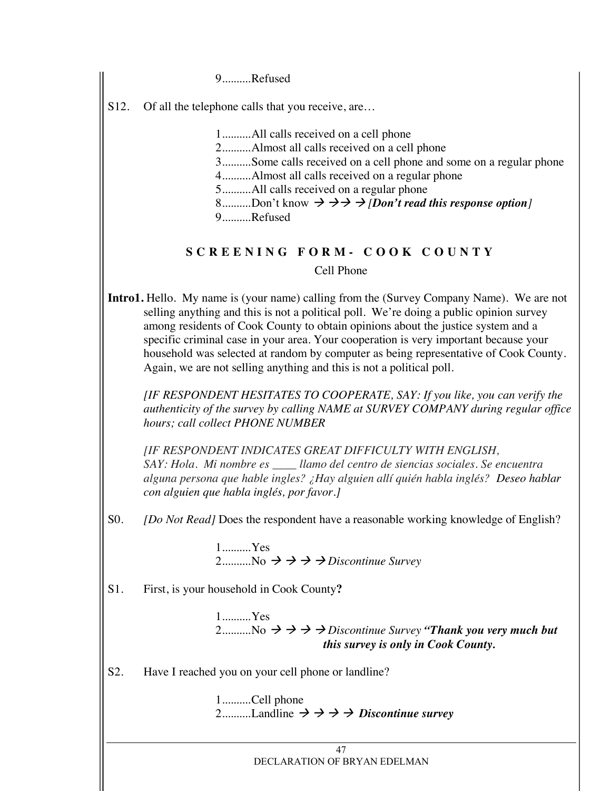9..........Refused

S12. Of all the telephone calls that you receive, are...

1..........All calls received on a cell phone

2..........Almost all calls received on a cell phone

3..........Some calls received on a cell phone and some on a regular phone

4..........Almost all calls received on a regular phone

5..........All calls received on a regular phone

8..........Don't know  $\rightarrow \rightarrow \rightarrow$  *[Don't read this response option]* 

9..........Refused

# **SCREENING FORM - COOK COUNTY**

Cell Phone

**Intro1.** Hello. My name is (your name) calling from the (Survey Company Name). We are not selling anything and this is not a political poll. We're doing a public opinion survey among residents of Cook County to obtain opinions about the justice system and a specific criminal case in your area. Your cooperation is very important because your household was selected at random by computer as being representative of Cook County. Again, we are not selling anything and this is not a political poll.

*[IF RESPONDENT HESITATES TO COOPERATE, SAY: If you like, you can verify the authenticity of the survey by calling NAME at SURVEY COMPANY during regular office hours; call collect PHONE NUMBER*

*[IF RESPONDENT INDICATES GREAT DIFFICULTY WITH ENGLISH, SAY: Hola. Mi nombre es \_\_\_\_ llamo del centro de siencias sociales. Se encuentra alguna persona que hable ingles? ¿Hay alguien allí quién habla inglés? Deseo hablar con alguien que habla inglés, por favor.]*

S0. *[Do Not Read]* Does the respondent have a reasonable working knowledge of English?

1..........Yes 2..........No  $\rightarrow \rightarrow \rightarrow$  *Discontinue Survey* 

S1. First, is your household in Cook County**?**

1..........Yes 2..........No  $\rightarrow \rightarrow \rightarrow$  *Discontinue Survey <i>"Thank you very much but this survey is only in Cook County.* 

S2. Have I reached you on your cell phone or landline?

1..........Cell phone 2..........Landline  $\rightarrow \rightarrow \rightarrow$  *Discontinue survey*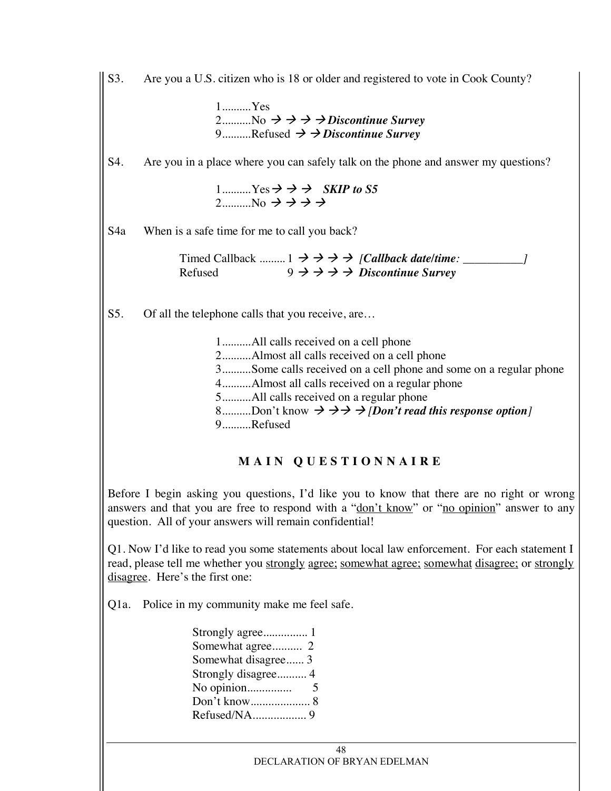S3. Are you a U.S. citizen who is 18 or older and registered to vote in Cook County?

1..........Yes 2...........No  $\rightarrow \rightarrow \rightarrow$  *Discontinue Survey* 9..........Refused  $\rightarrow$   $\rightarrow$  *Discontinue Survey* 

S4. Are you in a place where you can safely talk on the phone and answer my questions?

1..........Yes  $\Rightarrow$   $\Rightarrow$  *SKIP to S5* 2..........No  $\rightarrow \rightarrow \rightarrow \rightarrow$ 

S4a When is a safe time for me to call you back?

Timed Callback .........  $1 \rightarrow \rightarrow \rightarrow$  *[Callback date/time:* \_\_\_\_\_\_\_\_\_\_\_\_\_*]* Refused  $9 \to \to \to \to \dot{D}$ *iscontinue Survey* 

S5. Of all the telephone calls that you receive, are...

1..........All calls received on a cell phone 2..........Almost all calls received on a cell phone 3..........Some calls received on a cell phone and some on a regular phone 4..........Almost all calls received on a regular phone 5..........All calls received on a regular phone 8..........Don't know  $\rightarrow \rightarrow \rightarrow$  *[Don't read this response option]* 9..........Refused

# **MAIN QUESTIONNAIRE**

Before I begin asking you questions, I'd like you to know that there are no right or wrong answers and that you are free to respond with a "don't know" or "no opinion" answer to any question. All of your answers will remain confidential!

Q1. Now I'd like to read you some statements about local law enforcement. For each statement I read, please tell me whether you strongly agree; somewhat agree; somewhat disagree; or strongly disagree. Here's the first one:

Q1a. Police in my community make me feel safe.

| Somewhat agree 2    |
|---------------------|
| Somewhat disagree 3 |
| Strongly disagree 4 |
|                     |
|                     |
|                     |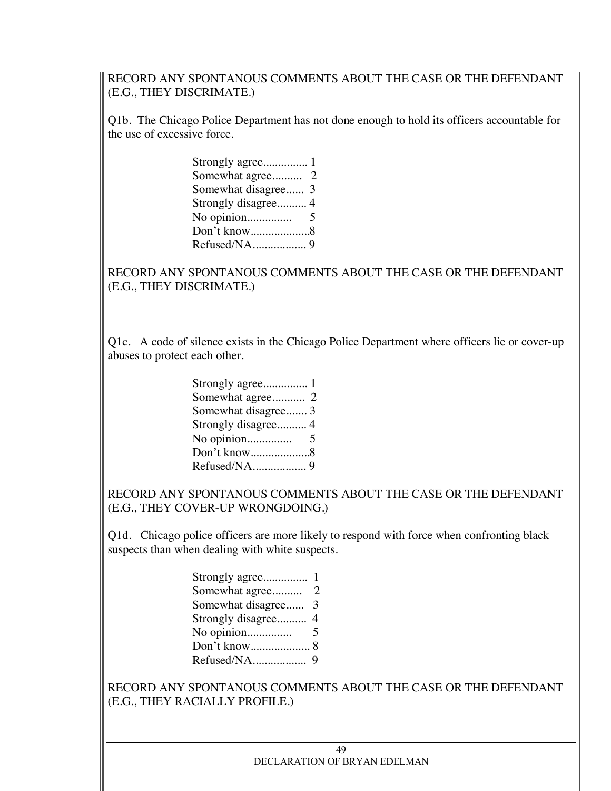RECORD ANY SPONTANOUS COMMENTS ABOUT THE CASE OR THE DEFENDANT (E.G., THEY DISCRIMATE.)

Q1b. The Chicago Police Department has not done enough to hold its officers accountable for the use of excessive force.

| Somewhat disagree 3 |  |
|---------------------|--|
| Strongly disagree4  |  |
|                     |  |
|                     |  |
|                     |  |
|                     |  |

RECORD ANY SPONTANOUS COMMENTS ABOUT THE CASE OR THE DEFENDANT (E.G., THEY DISCRIMATE.)

Q1c. A code of silence exists in the Chicago Police Department where officers lie or cover-up abuses to protect each other.

| Somewhat disagree3  |  |
|---------------------|--|
| Strongly disagree 4 |  |
|                     |  |
|                     |  |
|                     |  |

RECORD ANY SPONTANOUS COMMENTS ABOUT THE CASE OR THE DEFENDANT (E.G., THEY COVER-UP WRONGDOING.)

Q1d. Chicago police officers are more likely to respond with force when confronting black suspects than when dealing with white suspects.

| Somewhat disagree 3 |  |
|---------------------|--|
|                     |  |
|                     |  |
|                     |  |
|                     |  |

RECORD ANY SPONTANOUS COMMENTS ABOUT THE CASE OR THE DEFENDANT (E.G., THEY RACIALLY PROFILE.)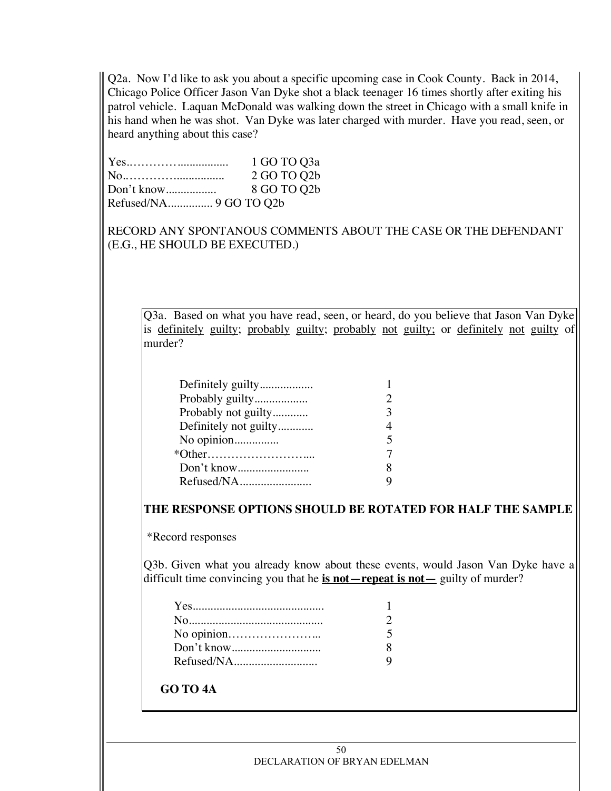Q2a. Now I'd like to ask you about a specific upcoming case in Cook County. Back in 2014, Chicago Police Officer Jason Van Dyke shot a black teenager 16 times shortly after exiting his patrol vehicle. Laquan McDonald was walking down the street in Chicago with a small knife in his hand when he was shot. Van Dyke was later charged with murder. Have you read, seen, or heard anything about this case?

|            | 1 GO TO Q3a |
|------------|-------------|
| No         | 2 GO TO Q2b |
| Don't know | 8 GO TO Q2b |
|            |             |

RECORD ANY SPONTANOUS COMMENTS ABOUT THE CASE OR THE DEFENDANT (E.G., HE SHOULD BE EXECUTED.)

Q3a. Based on what you have read, seen, or heard, do you believe that Jason Van Dyke is definitely guilty; probably guilty; probably not guilty; or definitely not guilty of murder?

| Probably guilty       |  |
|-----------------------|--|
| Probably not guilty   |  |
| Definitely not guilty |  |
| No opinion            |  |
|                       |  |
|                       |  |
| Refused/NA            |  |

**THE RESPONSE OPTIONS SHOULD BE ROTATED FOR HALF THE SAMPLE**

\*Record responses

Q3b. Given what you already know about these events, would Jason Van Dyke have a difficult time convincing you that he **is not—repeat is not—** guilty of murder?

# **GO TO 4A**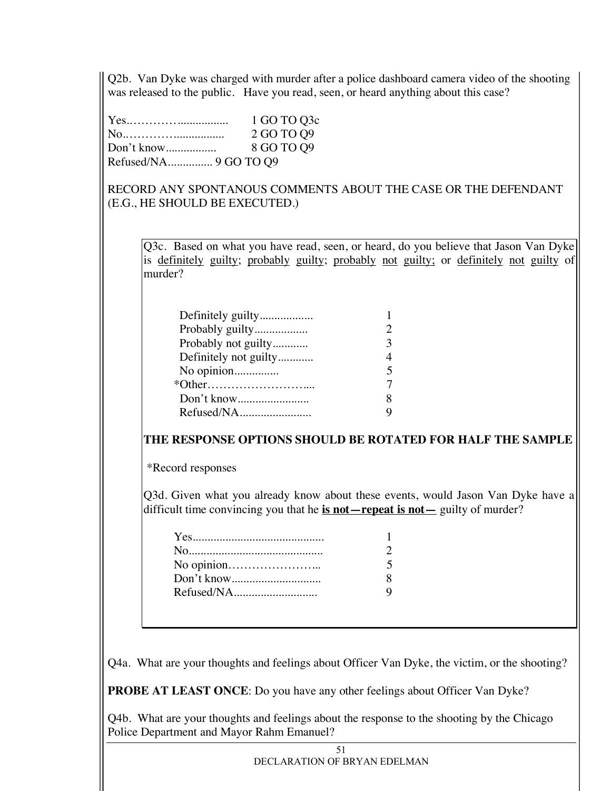Q2b. Van Dyke was charged with murder after a police dashboard camera video of the shooting was released to the public. Have you read, seen, or heard anything about this case?

|            | 1 GO TO Q3c |
|------------|-------------|
| No         | 2 GO TO Q9  |
| Don't know | 8 GO TO Q9  |
|            |             |

RECORD ANY SPONTANOUS COMMENTS ABOUT THE CASE OR THE DEFENDANT (E.G., HE SHOULD BE EXECUTED.)

Q3c. Based on what you have read, seen, or heard, do you believe that Jason Van Dyke is definitely guilty; probably guilty; probably not guilty; or definitely not guilty of murder?

| Probably guilty       |  |
|-----------------------|--|
| Probably not guilty   |  |
| Definitely not guilty |  |
| No opinion            |  |
|                       |  |
|                       |  |
| Refused/NA            |  |

# **THE RESPONSE OPTIONS SHOULD BE ROTATED FOR HALF THE SAMPLE**

\*Record responses

Q3d. Given what you already know about these events, would Jason Van Dyke have a difficult time convincing you that he **is not—repeat is not—** guilty of murder?

Q4a. What are your thoughts and feelings about Officer Van Dyke, the victim, or the shooting?

**PROBE AT LEAST ONCE**: Do you have any other feelings about Officer Van Dyke?

Q4b. What are your thoughts and feelings about the response to the shooting by the Chicago Police Department and Mayor Rahm Emanuel?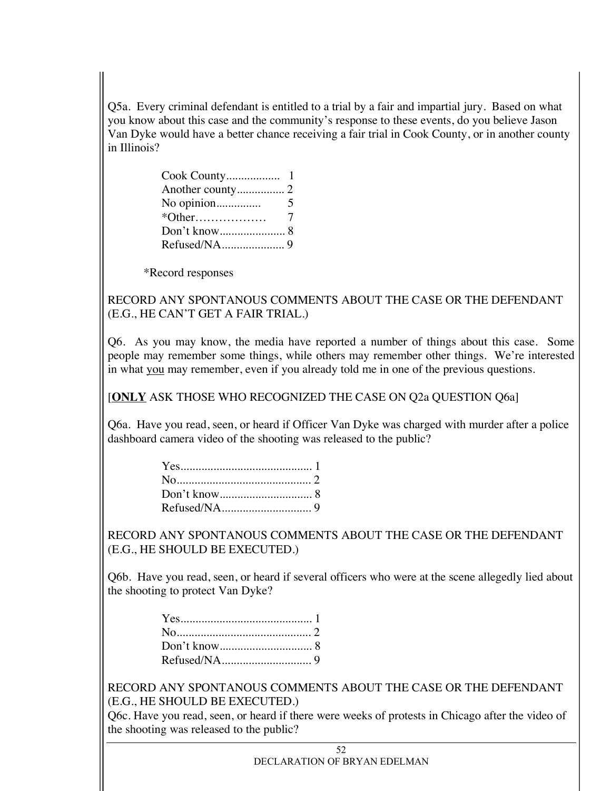Q5a. Every criminal defendant is entitled to a trial by a fair and impartial jury. Based on what you know about this case and the community's response to these events, do you believe Jason Van Dyke would have a better chance receiving a fair trial in Cook County, or in another county in Illinois?

| No opinion | 5 |
|------------|---|
|            | 7 |
|            |   |
|            |   |

\*Record responses

RECORD ANY SPONTANOUS COMMENTS ABOUT THE CASE OR THE DEFENDANT (E.G., HE CAN'T GET A FAIR TRIAL.)

Q6. As you may know, the media have reported a number of things about this case. Some people may remember some things, while others may remember other things. We're interested in what you may remember, even if you already told me in one of the previous questions.

[**ONLY** ASK THOSE WHO RECOGNIZED THE CASE ON Q2a QUESTION Q6a]

Q6a. Have you read, seen, or heard if Officer Van Dyke was charged with murder after a police dashboard camera video of the shooting was released to the public?

RECORD ANY SPONTANOUS COMMENTS ABOUT THE CASE OR THE DEFENDANT (E.G., HE SHOULD BE EXECUTED.)

Q6b. Have you read, seen, or heard if several officers who were at the scene allegedly lied about the shooting to protect Van Dyke?

RECORD ANY SPONTANOUS COMMENTS ABOUT THE CASE OR THE DEFENDANT (E.G., HE SHOULD BE EXECUTED.)

Q6c. Have you read, seen, or heard if there were weeks of protests in Chicago after the video of the shooting was released to the public?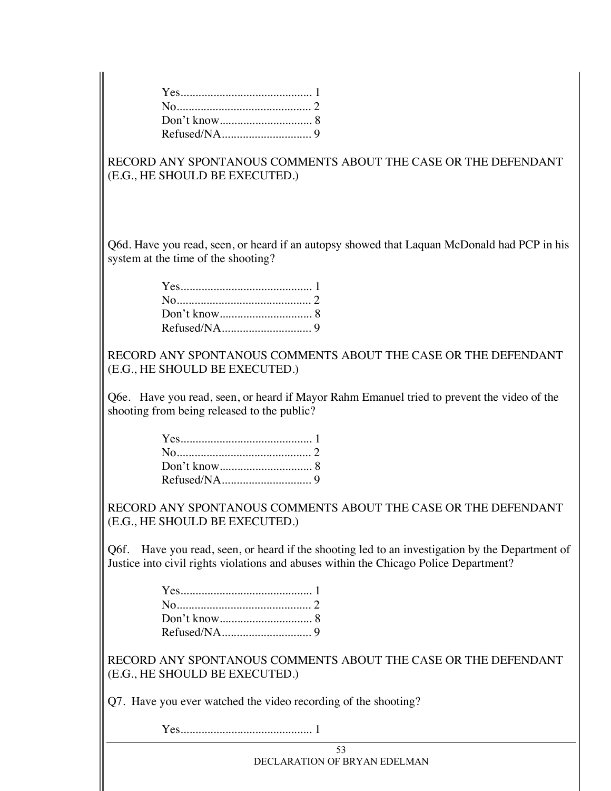RECORD ANY SPONTANOUS COMMENTS ABOUT THE CASE OR THE DEFENDANT (E.G., HE SHOULD BE EXECUTED.)

Q6d. Have you read, seen, or heard if an autopsy showed that Laquan McDonald had PCP in his system at the time of the shooting?

RECORD ANY SPONTANOUS COMMENTS ABOUT THE CASE OR THE DEFENDANT (E.G., HE SHOULD BE EXECUTED.)

Q6e. Have you read, seen, or heard if Mayor Rahm Emanuel tried to prevent the video of the shooting from being released to the public?

RECORD ANY SPONTANOUS COMMENTS ABOUT THE CASE OR THE DEFENDANT (E.G., HE SHOULD BE EXECUTED.)

Q6f. Have you read, seen, or heard if the shooting led to an investigation by the Department of Justice into civil rights violations and abuses within the Chicago Police Department?

RECORD ANY SPONTANOUS COMMENTS ABOUT THE CASE OR THE DEFENDANT (E.G., HE SHOULD BE EXECUTED.)

Q7. Have you ever watched the video recording of the shooting?

Yes............................................ 1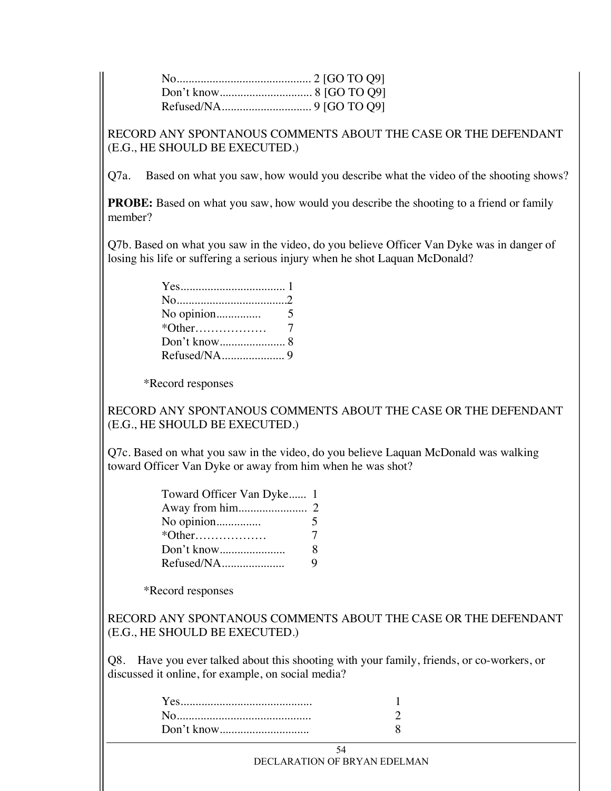RECORD ANY SPONTANOUS COMMENTS ABOUT THE CASE OR THE DEFENDANT (E.G., HE SHOULD BE EXECUTED.)

Q7a. Based on what you saw, how would you describe what the video of the shooting shows?

**PROBE:** Based on what you saw, how would you describe the shooting to a friend or family member?

Q7b. Based on what you saw in the video, do you believe Officer Van Dyke was in danger of losing his life or suffering a serious injury when he shot Laquan McDonald?

\*Record responses

RECORD ANY SPONTANOUS COMMENTS ABOUT THE CASE OR THE DEFENDANT (E.G., HE SHOULD BE EXECUTED.)

Q7c. Based on what you saw in the video, do you believe Laquan McDonald was walking toward Officer Van Dyke or away from him when he was shot?

| Toward Officer Van Dyke 1 |  |
|---------------------------|--|
|                           |  |
| No opinion<br>5           |  |
| 7                         |  |
| 8<br>Don't know           |  |
| Refused/NA<br>Q           |  |

\*Record responses

RECORD ANY SPONTANOUS COMMENTS ABOUT THE CASE OR THE DEFENDANT (E.G., HE SHOULD BE EXECUTED.)

Q8. Have you ever talked about this shooting with your family, friends, or co-workers, or discussed it online, for example, on social media?

| Don't know |  |
|------------|--|

54 DECLARATION OF BRYAN EDELMAN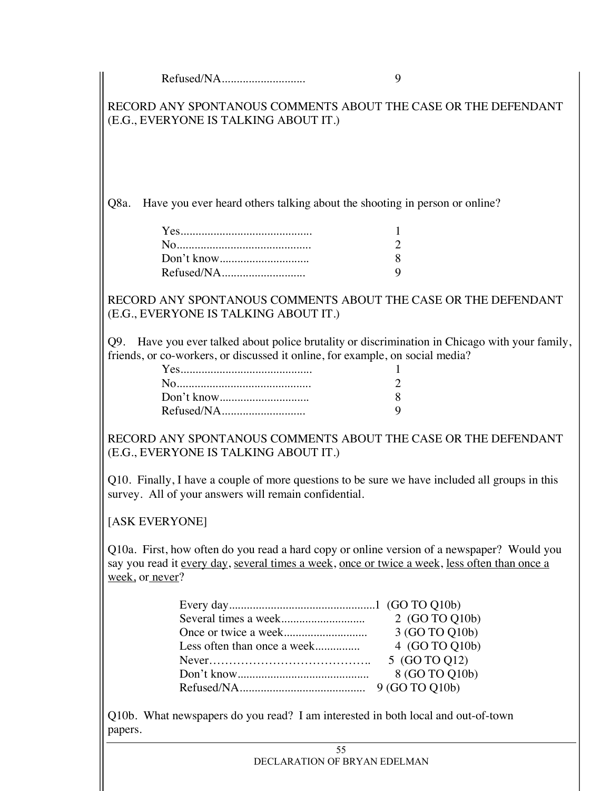Refused/NA............................ 9

RECORD ANY SPONTANOUS COMMENTS ABOUT THE CASE OR THE DEFENDANT (E.G., EVERYONE IS TALKING ABOUT IT.)

Q8a. Have you ever heard others talking about the shooting in person or online?

| っ |
|---|
| Ջ |
| q |

RECORD ANY SPONTANOUS COMMENTS ABOUT THE CASE OR THE DEFENDANT (E.G., EVERYONE IS TALKING ABOUT IT.)

Q9. Have you ever talked about police brutality or discrimination in Chicago with your family, friends, or co-workers, or discussed it online, for example, on social media?

| 2 |
|---|
| 8 |
| Q |

RECORD ANY SPONTANOUS COMMENTS ABOUT THE CASE OR THE DEFENDANT (E.G., EVERYONE IS TALKING ABOUT IT.)

Q10. Finally, I have a couple of more questions to be sure we have included all groups in this survey. All of your answers will remain confidential.

#### [ASK EVERYONE]

Q10a. First, how often do you read a hard copy or online version of a newspaper? Would you say you read it every day, several times a week, once or twice a week, less often than once a week, or never?

|                             | 3 (GO TO Q10b) |
|-----------------------------|----------------|
| Less often than once a week | 4 (GO TO Q10b) |
|                             | 5 (GO TO Q12)  |
|                             | 8 (GO TO Q10b) |
|                             |                |

Q10b. What newspapers do you read? I am interested in both local and out-of-town papers.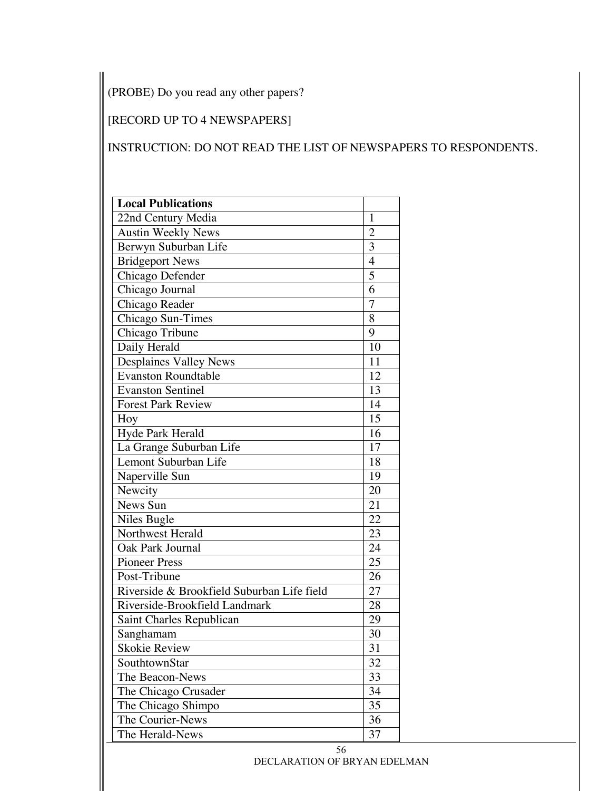(PROBE) Do you read any other papers?

# [RECORD UP TO 4 NEWSPAPERS]

# INSTRUCTION: DO NOT READ THE LIST OF NEWSPAPERS TO RESPONDENTS.

| <b>Local Publications</b>                  |                 |
|--------------------------------------------|-----------------|
| 22nd Century Media                         | 1               |
| <b>Austin Weekly News</b>                  | $\overline{2}$  |
| Berwyn Suburban Life                       | 3               |
| <b>Bridgeport News</b>                     | 4               |
| Chicago Defender                           | $\overline{5}$  |
| Chicago Journal                            | 6               |
| Chicago Reader                             | $\overline{7}$  |
| Chicago Sun-Times                          | 8               |
| Chicago Tribune                            | 9               |
| Daily Herald                               | 10              |
| <b>Desplaines Valley News</b>              | 11              |
| <b>Evanston Roundtable</b>                 | 12              |
| <b>Evanston Sentinel</b>                   | 13              |
| <b>Forest Park Review</b>                  | 14              |
| Hoy                                        | $\overline{15}$ |
| Hyde Park Herald                           | 16              |
| La Grange Suburban Life                    | 17              |
| Lemont Suburban Life                       | 18              |
| Naperville Sun                             | 19              |
| Newcity                                    | 20              |
| News Sun                                   | 21              |
| Niles Bugle                                | 22              |
| Northwest Herald                           | 23              |
| Oak Park Journal                           | 24              |
| <b>Pioneer Press</b>                       | 25              |
| Post-Tribune                               | 26              |
| Riverside & Brookfield Suburban Life field | 27              |
| Riverside-Brookfield Landmark              | 28              |
| Saint Charles Republican                   | 29              |
| Sanghamam                                  | 30              |
| Skokie Review                              | 31              |
| SouthtownStar                              | 32              |
| The Beacon-News                            | 33              |
| The Chicago Crusader                       | 34              |
| The Chicago Shimpo                         | 35              |
| The Courier-News                           | 36              |
| The Herald-News                            | 37              |

56 DECLARATION OF BRYAN EDELMAN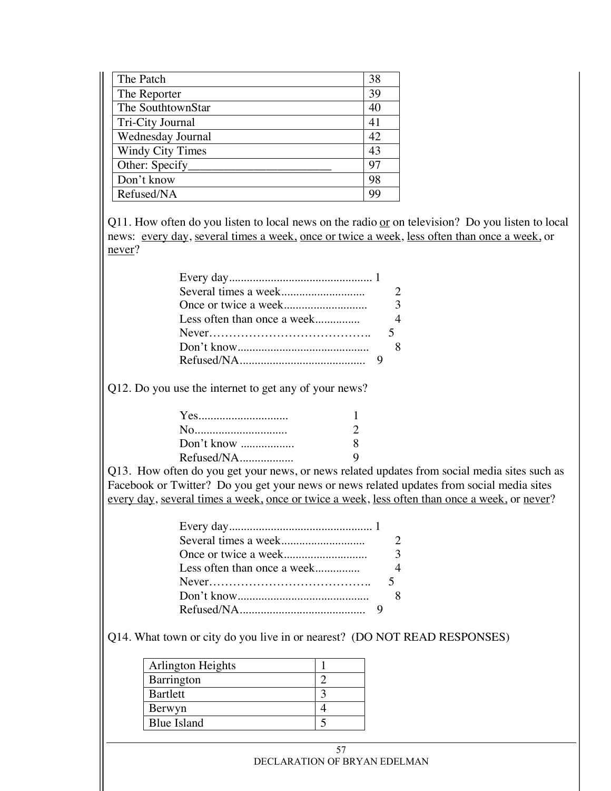| The Patch               | 38 |
|-------------------------|----|
| The Reporter            | 39 |
| The SouthtownStar       | 40 |
| Tri-City Journal        | 41 |
| Wednesday Journal       | 42 |
| <b>Windy City Times</b> | 43 |
| Other: Specify          | 97 |
| Don't know              | 98 |
| Refused/NA              | 99 |

Q11. How often do you listen to local news on the radio  $or$  on television? Do you listen to local</u> news: every day, several times a week, once or twice a week, less often than once a week, or never?

Q12. Do you use the internet to get any of your news?

| No         |  |
|------------|--|
| Don't know |  |
| Refused/NA |  |

Q13. How often do you get your news, or news related updates from social media sites such as Facebook or Twitter? Do you get your news or news related updates from social media sites every day, several times a week, once or twice a week, less often than once a week, or never?

Q14. What town or city do you live in or nearest? (DO NOT READ RESPONSES)

| Arlington Heights  |  |
|--------------------|--|
| Barrington         |  |
| Bartlett           |  |
| Berwyn             |  |
| <b>Blue Island</b> |  |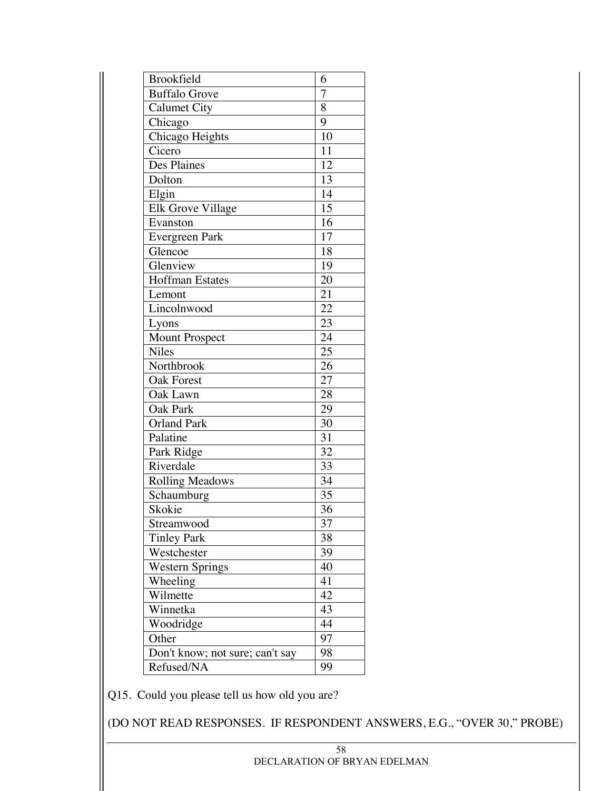| <b>Brookfield</b>               | 6               |
|---------------------------------|-----------------|
| Buffalo Grove                   | 7               |
| <b>Calumet City</b>             | 8               |
| Chicago                         | 9               |
| Chicago Heights                 | 10              |
| Cicero                          | $\overline{11}$ |
| Des Plaines                     | 12              |
| Dolton                          | 13              |
| Elgin                           | 14              |
| Elk Grove Village               | 15              |
| Evanston                        | 16              |
| Evergreen Park                  | 17              |
| Glencoe                         | 18              |
| Glenview                        | 19              |
| <b>Hoffman Estates</b>          | 20              |
| Lemont                          | $\overline{21}$ |
| Lincolnwood                     | 22              |
| Lyons                           | $\overline{23}$ |
| <b>Mount Prospect</b>           | $\overline{24}$ |
| Niles                           | 25              |
| Northbrook                      | 26              |
| <b>Oak Forest</b>               | 27              |
| Oak Lawn                        | 28              |
| <b>Oak Park</b>                 | 29              |
| <b>Orland Park</b>              | 30              |
| Palatine                        | 31              |
| Park Ridge                      | $\overline{32}$ |
| Riverdale                       | 33              |
| <b>Rolling Meadows</b>          | 34              |
| Schaumburg                      | 35              |
| Skokie                          | 36              |
| Streamwood                      | 37              |
| <b>Tinley Park</b>              | 38              |
| Westchester                     | 39              |
| <b>Western Springs</b>          | 40              |
| Wheeling                        | 41              |
| Wilmette                        | 42              |
| Winnetka                        | 43              |
| Woodridge                       | 44              |
| Other                           | 97              |
| Don't know; not sure; can't say | 98              |
| Refused/NA                      | 99              |

Q15. Could you please tell us how old you are?

(DO NOT READ RESPONSES. IF RESPONDENT ANSWERS, E.G., "OVER 30," PROBE)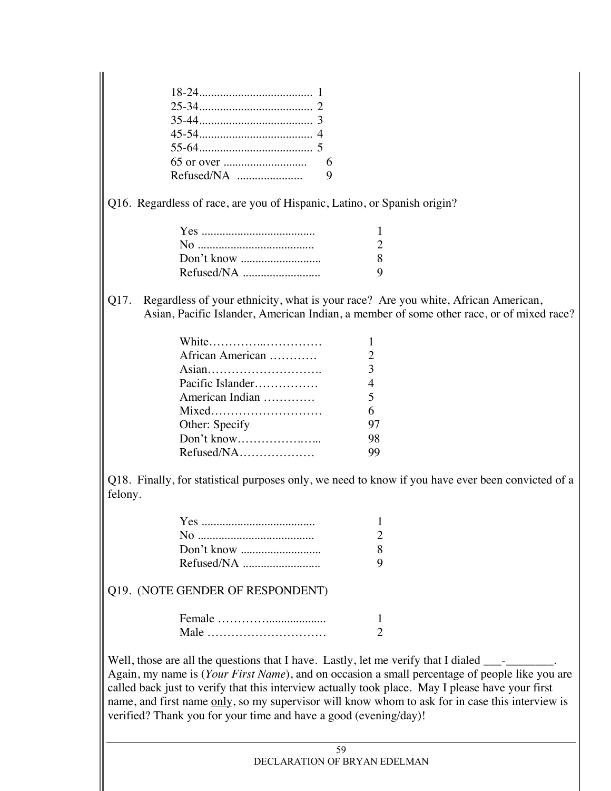Q16. Regardless of race, are you of Hispanic, Latino, or Spanish origin?

| Q. |
|----|
|    |

Q17. Regardless of your ethnicity, what is your race? Are you white, African American, Asian, Pacific Islander, American Indian, a member of some other race, or of mixed race?

| White            |                             |
|------------------|-----------------------------|
| African American | $\mathcal{D}_{\mathcal{L}}$ |
| Asian            | 3                           |
| Pacific Islander | $\overline{4}$              |
| American Indian  | $\mathfrak{H}$              |
| Mixed            | 6                           |
| Other: Specify   | 97                          |
| Don't know       | 98                          |
| Refused/NA       | 99                          |
|                  |                             |

Q18. Finally, for statistical purposes only, we need to know if you have ever been convicted of a felony.

#### Q19. (NOTE GENDER OF RESPONDENT)

| Male |  |
|------|--|

Well, those are all the questions that I have. Lastly, let me verify that I dialed Again, my name is (*Your First Name*), and on occasion a small percentage of people like you are called back just to verify that this interview actually took place. May I please have your first name, and first name only, so my supervisor will know whom to ask for in case this interview is verified? Thank you for your time and have a good (evening/day)!